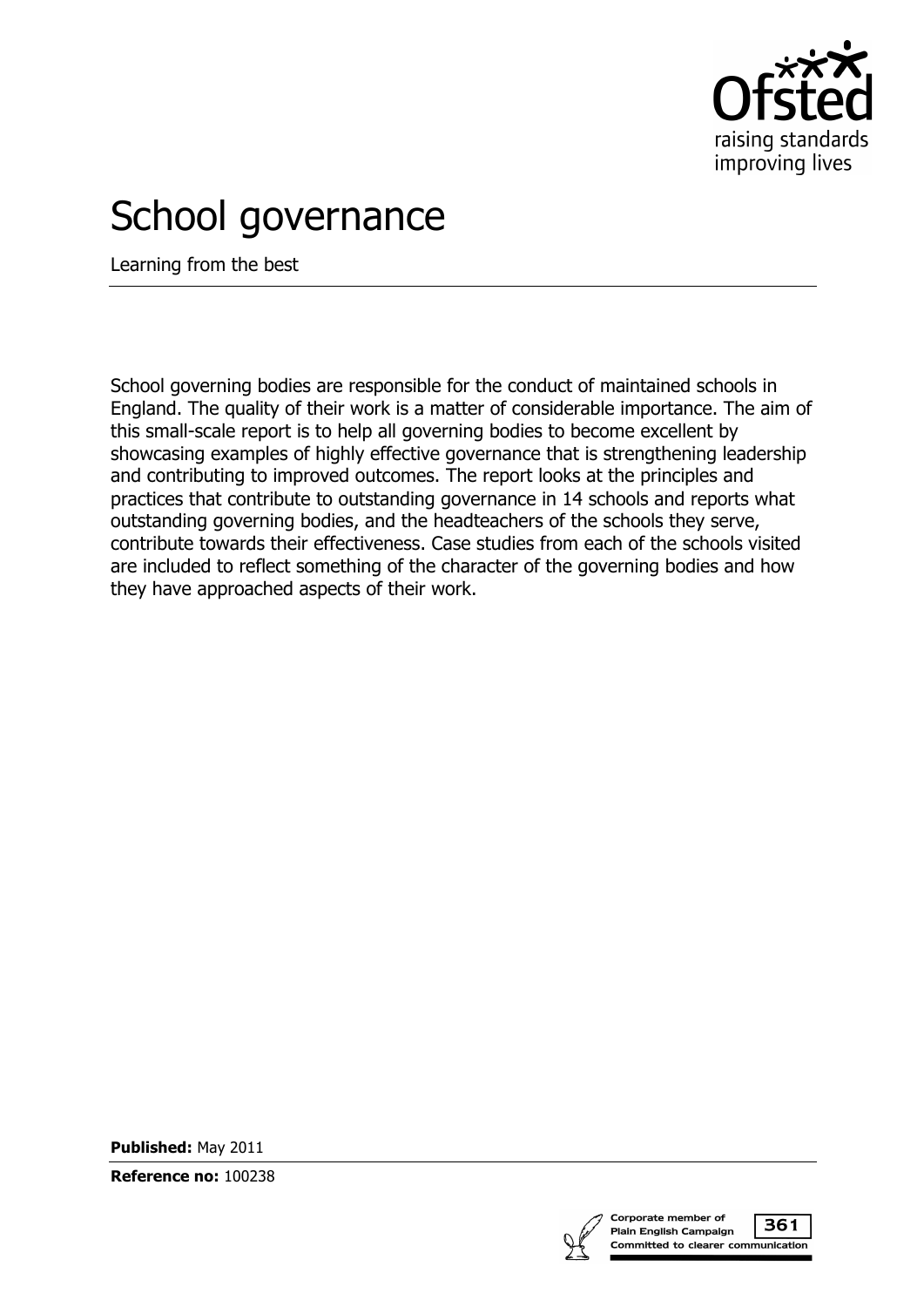

# School governance

Learning from the best

School governing bodies are responsible for the conduct of maintained schools in England. The quality of their work is a matter of considerable importance. The aim of this small-scale report is to help all governing bodies to become excellent by showcasing examples of highly effective governance that is strengthening leadership and contributing to improved outcomes. The report looks at the principles and practices that contribute to outstanding governance in 14 schools and reports what outstanding governing bodies, and the headteachers of the schools they serve, contribute towards their effectiveness. Case studies from each of the schools visited are included to reflect something of the character of the governing bodies and how they have approached aspects of their work.

**Published:** May 2011

**Reference no:** 100238

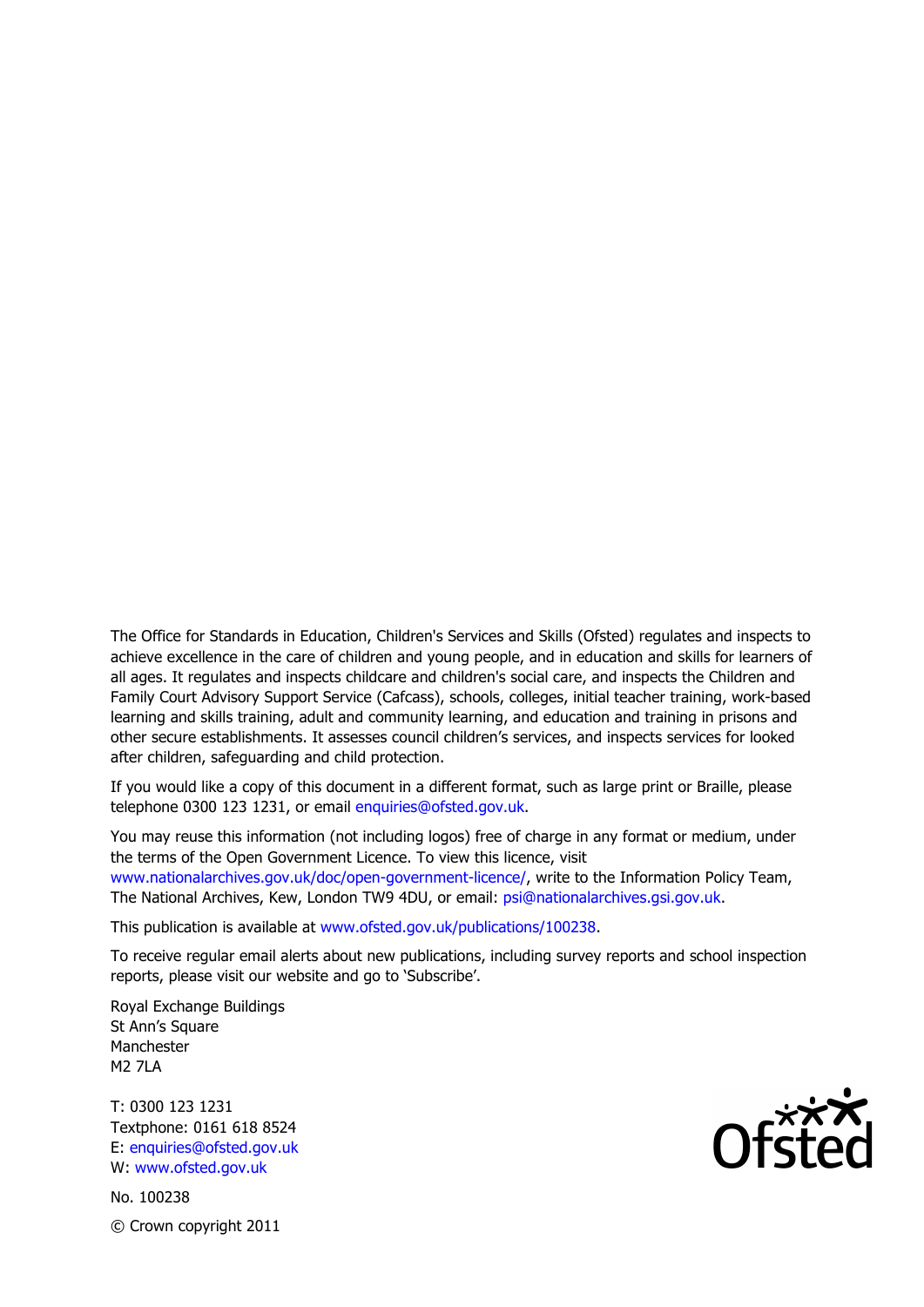The Office for Standards in Education, Children's Services and Skills (Ofsted) regulates and inspects to achieve excellence in the care of children and young people, and in education and skills for learners of all ages. It regulates and inspects childcare and children's social care, and inspects the Children and Family Court Advisory Support Service (Cafcass), schools, colleges, initial teacher training, work-based learning and skills training, adult and community learning, and education and training in prisons and other secure establishments. It assesses council children's services, and inspects services for looked after children, safeguarding and child protection.

If you would like a copy of this document in a different format, such as large print or Braille, please telephone 0300 123 1231, or email enquiries@ofsted.gov.uk.

You may reuse this information (not including logos) free of charge in any format or medium, under the terms of the Open Government Licence. To view this licence, visit www.nationalarchives.gov.uk/doc/open-government-licence/, write to the Information Policy Team, The National Archives, Kew, London TW9 4DU, or email: psi@nationalarchives.gsi.gov.uk.

This publication is available at www.ofsted.gov.uk/publications/100238.

To receive regular email alerts about new publications, including survey reports and school inspection reports, please visit our website and go to 'Subscribe'.

Royal Exchange Buildings St Ann's Square Manchester M2 7LA

T: 0300 123 1231 Textphone: 0161 618 8524 E: enquiries@ofsted.gov.uk W: www.ofsted.gov.uk

No. 100238

Ofsted<br>Ofsted

© Crown copyright 2011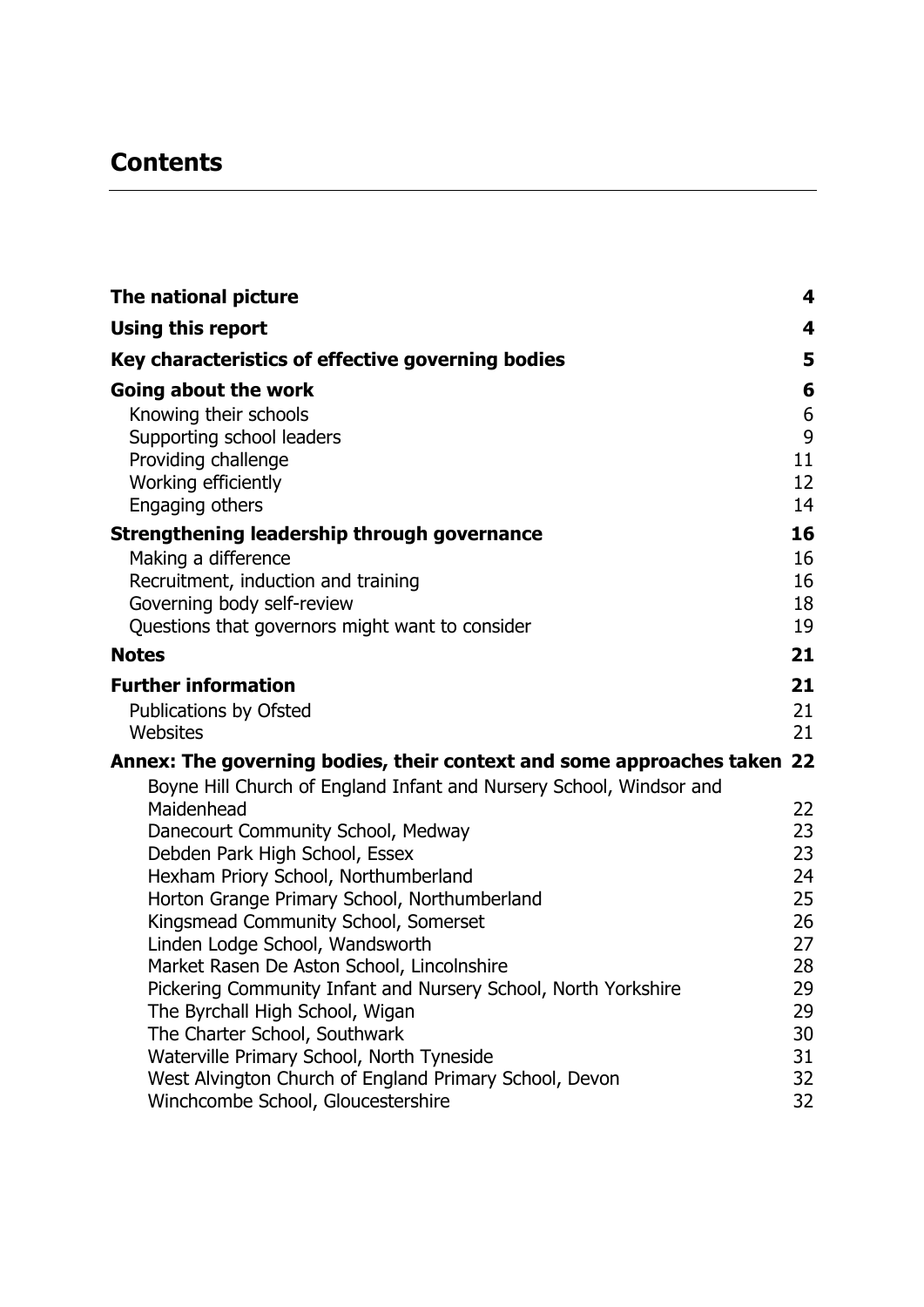# **Contents**

| 4<br>Key characteristics of effective governing bodies<br>5<br>6<br>Going about the work<br>6<br>Knowing their schools<br>9<br>Supporting school leaders<br>Providing challenge<br>11<br>Working efficiently<br>12<br>14<br>Engaging others<br>16<br>16<br>Making a difference<br>Recruitment, induction and training<br>16<br>18<br>Governing body self-review<br>Questions that governors might want to consider<br>19<br>21<br><b>Notes</b><br><b>Further information</b><br>21<br>Publications by Ofsted<br>21<br>Websites<br>21<br>Annex: The governing bodies, their context and some approaches taken 22<br>Boyne Hill Church of England Infant and Nursery School, Windsor and<br>Maidenhead<br>22<br>Danecourt Community School, Medway<br>23<br>23<br>Debden Park High School, Essex<br>Hexham Priory School, Northumberland<br>24<br>25<br>Horton Grange Primary School, Northumberland<br>Kingsmead Community School, Somerset<br>26<br>Linden Lodge School, Wandsworth<br>27<br>28<br>Market Rasen De Aston School, Lincolnshire<br>Pickering Community Infant and Nursery School, North Yorkshire<br>29<br>The Byrchall High School, Wigan<br>29<br>The Charter School, Southwark<br>30<br>Waterville Primary School, North Tyneside<br>31<br>32<br>West Alvington Church of England Primary School, Devon | The national picture                        | 4  |
|--------------------------------------------------------------------------------------------------------------------------------------------------------------------------------------------------------------------------------------------------------------------------------------------------------------------------------------------------------------------------------------------------------------------------------------------------------------------------------------------------------------------------------------------------------------------------------------------------------------------------------------------------------------------------------------------------------------------------------------------------------------------------------------------------------------------------------------------------------------------------------------------------------------------------------------------------------------------------------------------------------------------------------------------------------------------------------------------------------------------------------------------------------------------------------------------------------------------------------------------------------------------------------------------------------------------------|---------------------------------------------|----|
|                                                                                                                                                                                                                                                                                                                                                                                                                                                                                                                                                                                                                                                                                                                                                                                                                                                                                                                                                                                                                                                                                                                                                                                                                                                                                                                          | <b>Using this report</b>                    |    |
|                                                                                                                                                                                                                                                                                                                                                                                                                                                                                                                                                                                                                                                                                                                                                                                                                                                                                                                                                                                                                                                                                                                                                                                                                                                                                                                          |                                             |    |
|                                                                                                                                                                                                                                                                                                                                                                                                                                                                                                                                                                                                                                                                                                                                                                                                                                                                                                                                                                                                                                                                                                                                                                                                                                                                                                                          |                                             |    |
|                                                                                                                                                                                                                                                                                                                                                                                                                                                                                                                                                                                                                                                                                                                                                                                                                                                                                                                                                                                                                                                                                                                                                                                                                                                                                                                          |                                             |    |
|                                                                                                                                                                                                                                                                                                                                                                                                                                                                                                                                                                                                                                                                                                                                                                                                                                                                                                                                                                                                                                                                                                                                                                                                                                                                                                                          |                                             |    |
|                                                                                                                                                                                                                                                                                                                                                                                                                                                                                                                                                                                                                                                                                                                                                                                                                                                                                                                                                                                                                                                                                                                                                                                                                                                                                                                          |                                             |    |
|                                                                                                                                                                                                                                                                                                                                                                                                                                                                                                                                                                                                                                                                                                                                                                                                                                                                                                                                                                                                                                                                                                                                                                                                                                                                                                                          |                                             |    |
|                                                                                                                                                                                                                                                                                                                                                                                                                                                                                                                                                                                                                                                                                                                                                                                                                                                                                                                                                                                                                                                                                                                                                                                                                                                                                                                          |                                             |    |
|                                                                                                                                                                                                                                                                                                                                                                                                                                                                                                                                                                                                                                                                                                                                                                                                                                                                                                                                                                                                                                                                                                                                                                                                                                                                                                                          | Strengthening leadership through governance |    |
|                                                                                                                                                                                                                                                                                                                                                                                                                                                                                                                                                                                                                                                                                                                                                                                                                                                                                                                                                                                                                                                                                                                                                                                                                                                                                                                          |                                             |    |
|                                                                                                                                                                                                                                                                                                                                                                                                                                                                                                                                                                                                                                                                                                                                                                                                                                                                                                                                                                                                                                                                                                                                                                                                                                                                                                                          |                                             |    |
|                                                                                                                                                                                                                                                                                                                                                                                                                                                                                                                                                                                                                                                                                                                                                                                                                                                                                                                                                                                                                                                                                                                                                                                                                                                                                                                          |                                             |    |
|                                                                                                                                                                                                                                                                                                                                                                                                                                                                                                                                                                                                                                                                                                                                                                                                                                                                                                                                                                                                                                                                                                                                                                                                                                                                                                                          |                                             |    |
|                                                                                                                                                                                                                                                                                                                                                                                                                                                                                                                                                                                                                                                                                                                                                                                                                                                                                                                                                                                                                                                                                                                                                                                                                                                                                                                          |                                             |    |
|                                                                                                                                                                                                                                                                                                                                                                                                                                                                                                                                                                                                                                                                                                                                                                                                                                                                                                                                                                                                                                                                                                                                                                                                                                                                                                                          |                                             |    |
|                                                                                                                                                                                                                                                                                                                                                                                                                                                                                                                                                                                                                                                                                                                                                                                                                                                                                                                                                                                                                                                                                                                                                                                                                                                                                                                          |                                             |    |
|                                                                                                                                                                                                                                                                                                                                                                                                                                                                                                                                                                                                                                                                                                                                                                                                                                                                                                                                                                                                                                                                                                                                                                                                                                                                                                                          |                                             |    |
|                                                                                                                                                                                                                                                                                                                                                                                                                                                                                                                                                                                                                                                                                                                                                                                                                                                                                                                                                                                                                                                                                                                                                                                                                                                                                                                          |                                             |    |
|                                                                                                                                                                                                                                                                                                                                                                                                                                                                                                                                                                                                                                                                                                                                                                                                                                                                                                                                                                                                                                                                                                                                                                                                                                                                                                                          |                                             |    |
|                                                                                                                                                                                                                                                                                                                                                                                                                                                                                                                                                                                                                                                                                                                                                                                                                                                                                                                                                                                                                                                                                                                                                                                                                                                                                                                          |                                             |    |
|                                                                                                                                                                                                                                                                                                                                                                                                                                                                                                                                                                                                                                                                                                                                                                                                                                                                                                                                                                                                                                                                                                                                                                                                                                                                                                                          |                                             |    |
|                                                                                                                                                                                                                                                                                                                                                                                                                                                                                                                                                                                                                                                                                                                                                                                                                                                                                                                                                                                                                                                                                                                                                                                                                                                                                                                          |                                             |    |
|                                                                                                                                                                                                                                                                                                                                                                                                                                                                                                                                                                                                                                                                                                                                                                                                                                                                                                                                                                                                                                                                                                                                                                                                                                                                                                                          |                                             |    |
|                                                                                                                                                                                                                                                                                                                                                                                                                                                                                                                                                                                                                                                                                                                                                                                                                                                                                                                                                                                                                                                                                                                                                                                                                                                                                                                          |                                             |    |
|                                                                                                                                                                                                                                                                                                                                                                                                                                                                                                                                                                                                                                                                                                                                                                                                                                                                                                                                                                                                                                                                                                                                                                                                                                                                                                                          |                                             |    |
|                                                                                                                                                                                                                                                                                                                                                                                                                                                                                                                                                                                                                                                                                                                                                                                                                                                                                                                                                                                                                                                                                                                                                                                                                                                                                                                          |                                             |    |
|                                                                                                                                                                                                                                                                                                                                                                                                                                                                                                                                                                                                                                                                                                                                                                                                                                                                                                                                                                                                                                                                                                                                                                                                                                                                                                                          |                                             |    |
|                                                                                                                                                                                                                                                                                                                                                                                                                                                                                                                                                                                                                                                                                                                                                                                                                                                                                                                                                                                                                                                                                                                                                                                                                                                                                                                          |                                             |    |
|                                                                                                                                                                                                                                                                                                                                                                                                                                                                                                                                                                                                                                                                                                                                                                                                                                                                                                                                                                                                                                                                                                                                                                                                                                                                                                                          |                                             |    |
|                                                                                                                                                                                                                                                                                                                                                                                                                                                                                                                                                                                                                                                                                                                                                                                                                                                                                                                                                                                                                                                                                                                                                                                                                                                                                                                          |                                             |    |
|                                                                                                                                                                                                                                                                                                                                                                                                                                                                                                                                                                                                                                                                                                                                                                                                                                                                                                                                                                                                                                                                                                                                                                                                                                                                                                                          |                                             |    |
|                                                                                                                                                                                                                                                                                                                                                                                                                                                                                                                                                                                                                                                                                                                                                                                                                                                                                                                                                                                                                                                                                                                                                                                                                                                                                                                          | Winchcombe School, Gloucestershire          | 32 |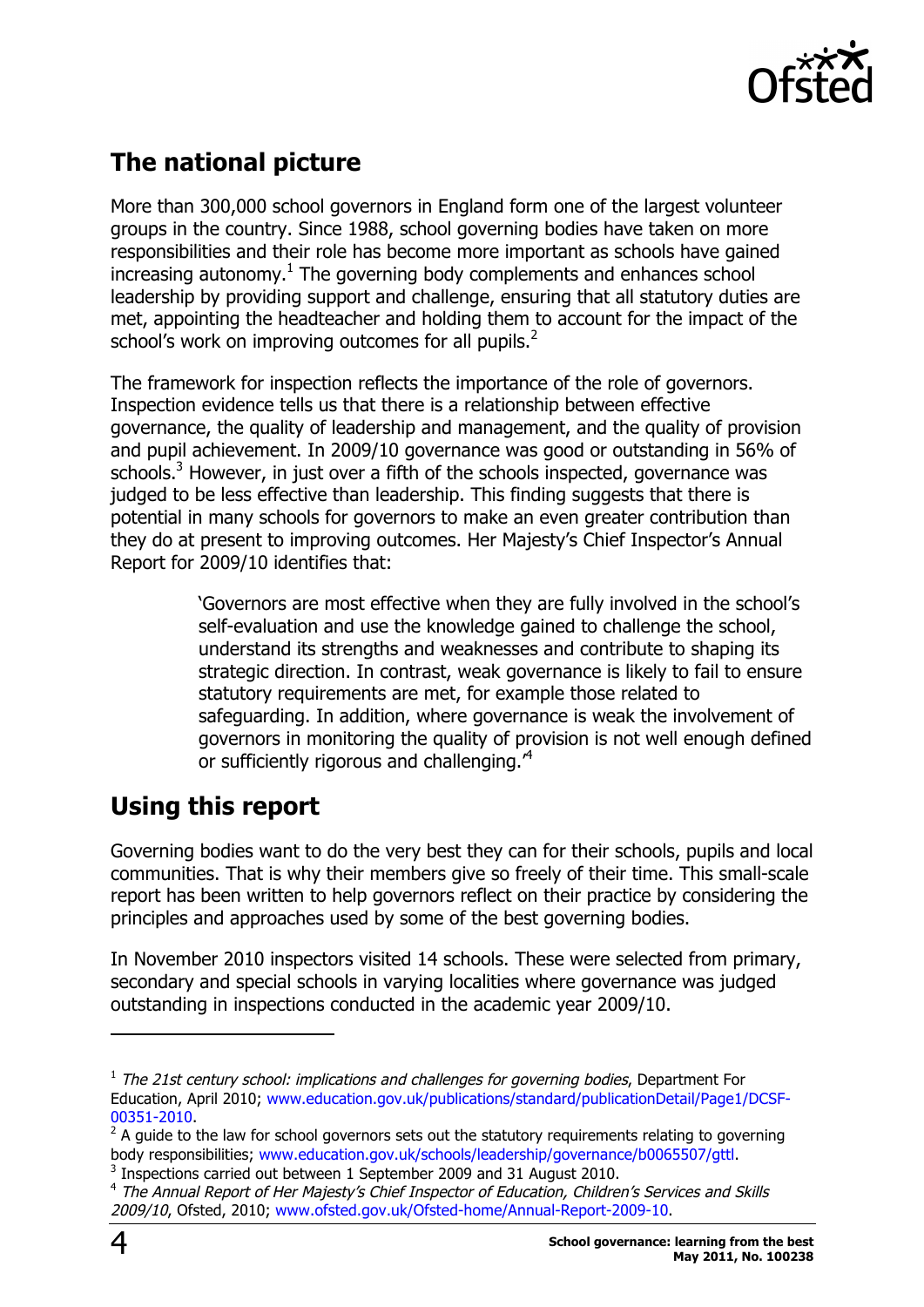

# **The national picture**

More than 300,000 school governors in England form one of the largest volunteer groups in the country. Since 1988, school governing bodies have taken on more responsibilities and their role has become more important as schools have gained increasing autonomy. <sup>1</sup> The governing body complements and enhances school leadership by providing support and challenge, ensuring that all statutory duties are met, appointing the headteacher and holding them to account for the impact of the school's work on improving outcomes for all pupils. $<sup>2</sup>$ </sup>

The framework for inspection reflects the importance of the role of governors. Inspection evidence tells us that there is a relationship between effective governance, the quality of leadership and management, and the quality of provision and pupil achievement. In 2009/10 governance was good or outstanding in 56% of schools.<sup>3</sup> However, in just over a fifth of the schools inspected, governance was judged to be less effective than leadership. This finding suggests that there is potential in many schools for governors to make an even greater contribution than they do at present to improving outcomes. Her Majesty's Chief Inspector's Annual Report for 2009/10 identifies that:

> 'Governors are most effective when they are fully involved in the school's self-evaluation and use the knowledge gained to challenge the school, understand its strengths and weaknesses and contribute to shaping its strategic direction. In contrast, weak governance is likely to fail to ensure statutory requirements are met, for example those related to safeguarding. In addition, where governance is weak the involvement of governors in monitoring the quality of provision is not well enough defined or sufficiently rigorous and challenging.<sup>4</sup>

# **Using this report**

Governing bodies want to do the very best they can for their schools, pupils and local communities. That is why their members give so freely of their time. This small-scale report has been written to help governors reflect on their practice by considering the principles and approaches used by some of the best governing bodies.

In November 2010 inspectors visited 14 schools. These were selected from primary, secondary and special schools in varying localities where governance was judged outstanding in inspections conducted in the academic year 2009/10.

-

 $1$  The 21st century school: implications and challenges for governing bodies, Department For Education, April 2010; www.education.gov.uk/publications/standard/publicationDetail/Page1/DCSF-00351-2010.

 $2$  A guide to the law for school governors sets out the statutory requirements relating to governing body responsibilities; www.education.gov.uk/schools/leadership/governance/b0065507/gttl.

 $3$  Inspections carried out between 1 September 2009 and 31 August 2010.

<sup>&</sup>lt;sup>4</sup> The Annual Report of Her Majesty's Chief Inspector of Education, Children's Services and Skills 2009/10, Ofsted, 2010; www.ofsted.gov.uk/Ofsted-home/Annual-Report-2009-10.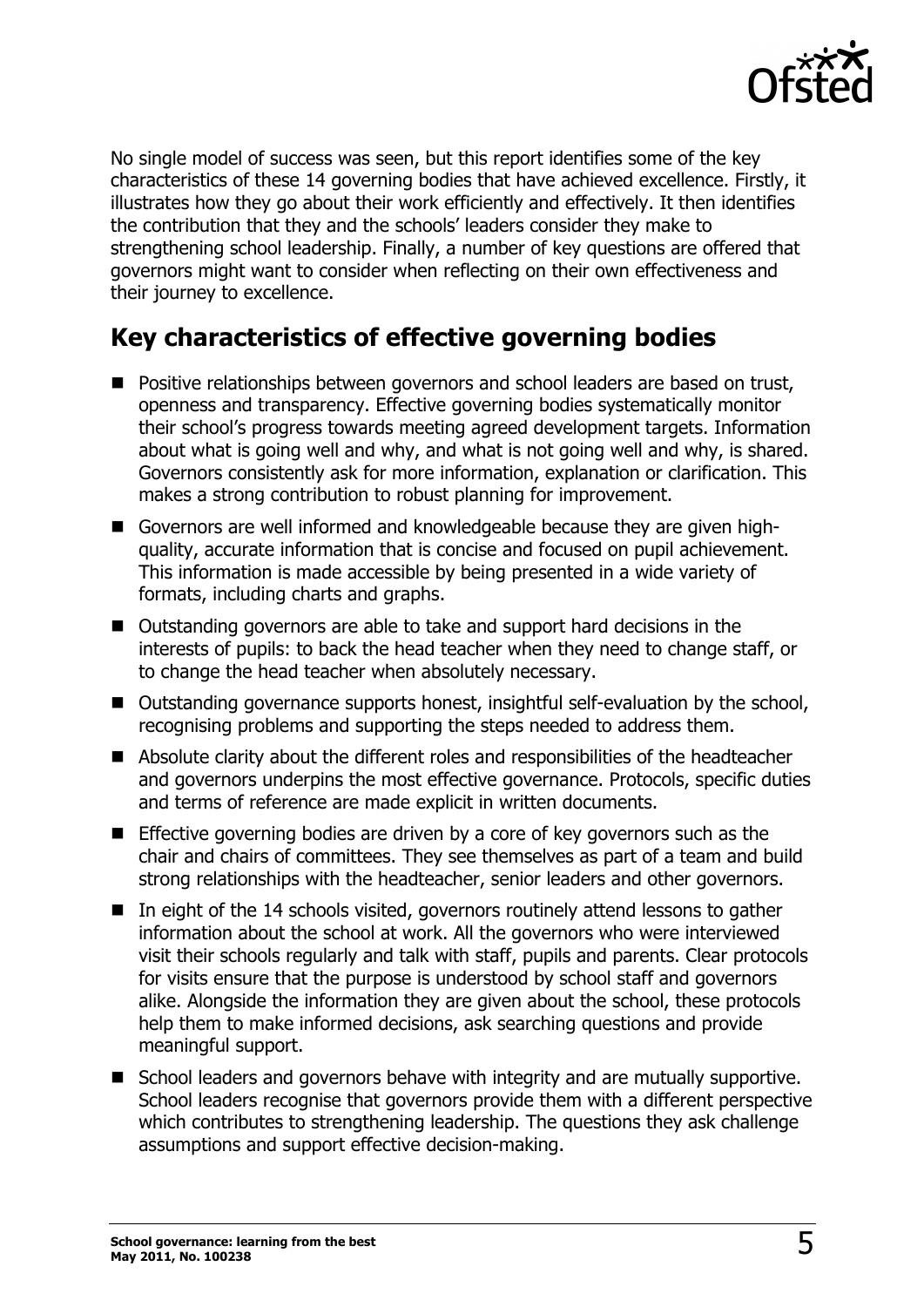

No single model of success was seen, but this report identifies some of the key characteristics of these 14 governing bodies that have achieved excellence. Firstly, it illustrates how they go about their work efficiently and effectively. It then identifies the contribution that they and the schools' leaders consider they make to strengthening school leadership. Finally, a number of key questions are offered that governors might want to consider when reflecting on their own effectiveness and their journey to excellence.

# **Key characteristics of effective governing bodies**

- Positive relationships between governors and school leaders are based on trust, openness and transparency. Effective governing bodies systematically monitor their school's progress towards meeting agreed development targets. Information about what is going well and why, and what is not going well and why, is shared. Governors consistently ask for more information, explanation or clarification. This makes a strong contribution to robust planning for improvement.
- Governors are well informed and knowledgeable because they are given highquality, accurate information that is concise and focused on pupil achievement. This information is made accessible by being presented in a wide variety of formats, including charts and graphs.
- Outstanding governors are able to take and support hard decisions in the interests of pupils: to back the head teacher when they need to change staff, or to change the head teacher when absolutely necessary.
- Outstanding governance supports honest, insightful self-evaluation by the school, recognising problems and supporting the steps needed to address them.
- $\blacksquare$  Absolute clarity about the different roles and responsibilities of the headteacher and governors underpins the most effective governance. Protocols, specific duties and terms of reference are made explicit in written documents.
- $\blacksquare$  Effective governing bodies are driven by a core of key governors such as the chair and chairs of committees. They see themselves as part of a team and build strong relationships with the headteacher, senior leaders and other governors.
- $\blacksquare$  In eight of the 14 schools visited, governors routinely attend lessons to gather information about the school at work. All the governors who were interviewed visit their schools regularly and talk with staff, pupils and parents. Clear protocols for visits ensure that the purpose is understood by school staff and governors alike. Alongside the information they are given about the school, these protocols help them to make informed decisions, ask searching questions and provide meaningful support.
- School leaders and governors behave with integrity and are mutually supportive. School leaders recognise that governors provide them with a different perspective which contributes to strengthening leadership. The questions they ask challenge assumptions and support effective decision-making.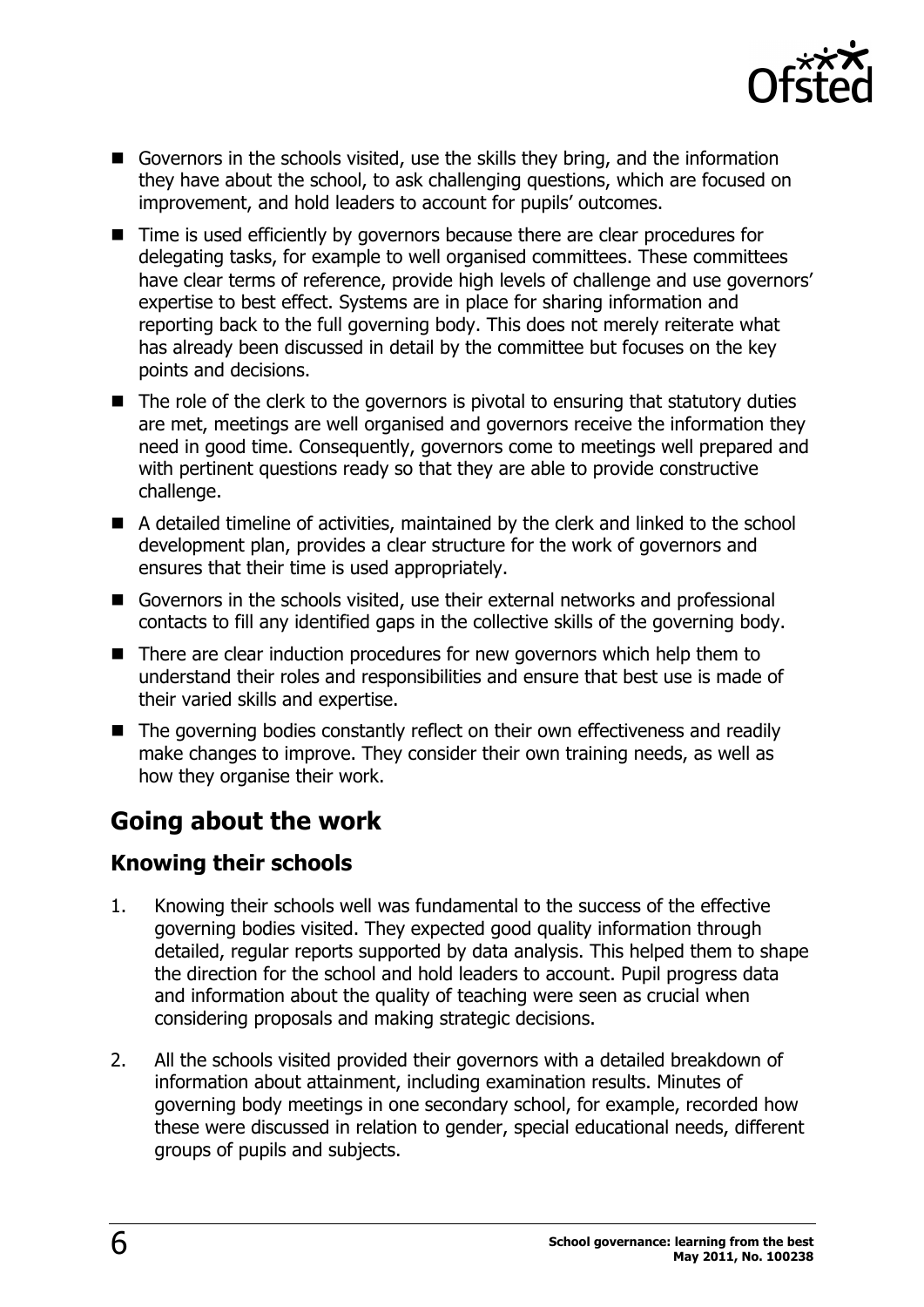

- Governors in the schools visited, use the skills they bring, and the information they have about the school, to ask challenging questions, which are focused on improvement, and hold leaders to account for pupils' outcomes.
- $\blacksquare$  Time is used efficiently by governors because there are clear procedures for delegating tasks, for example to well organised committees. These committees have clear terms of reference, provide high levels of challenge and use governors' expertise to best effect. Systems are in place for sharing information and reporting back to the full governing body. This does not merely reiterate what has already been discussed in detail by the committee but focuses on the key points and decisions.
- $\blacksquare$  The role of the clerk to the governors is pivotal to ensuring that statutory duties are met, meetings are well organised and governors receive the information they need in good time. Consequently, governors come to meetings well prepared and with pertinent questions ready so that they are able to provide constructive challenge.
- A detailed timeline of activities, maintained by the clerk and linked to the school development plan, provides a clear structure for the work of governors and ensures that their time is used appropriately.
- Governors in the schools visited, use their external networks and professional contacts to fill any identified gaps in the collective skills of the governing body.
- $\blacksquare$  There are clear induction procedures for new governors which help them to understand their roles and responsibilities and ensure that best use is made of their varied skills and expertise.
- $\blacksquare$  The governing bodies constantly reflect on their own effectiveness and readily make changes to improve. They consider their own training needs, as well as how they organise their work.

# **Going about the work**

### **Knowing their schools**

- 1. Knowing their schools well was fundamental to the success of the effective governing bodies visited. They expected good quality information through detailed, regular reports supported by data analysis. This helped them to shape the direction for the school and hold leaders to account. Pupil progress data and information about the quality of teaching were seen as crucial when considering proposals and making strategic decisions.
- 2. All the schools visited provided their governors with a detailed breakdown of information about attainment, including examination results. Minutes of governing body meetings in one secondary school, for example, recorded how these were discussed in relation to gender, special educational needs, different groups of pupils and subjects.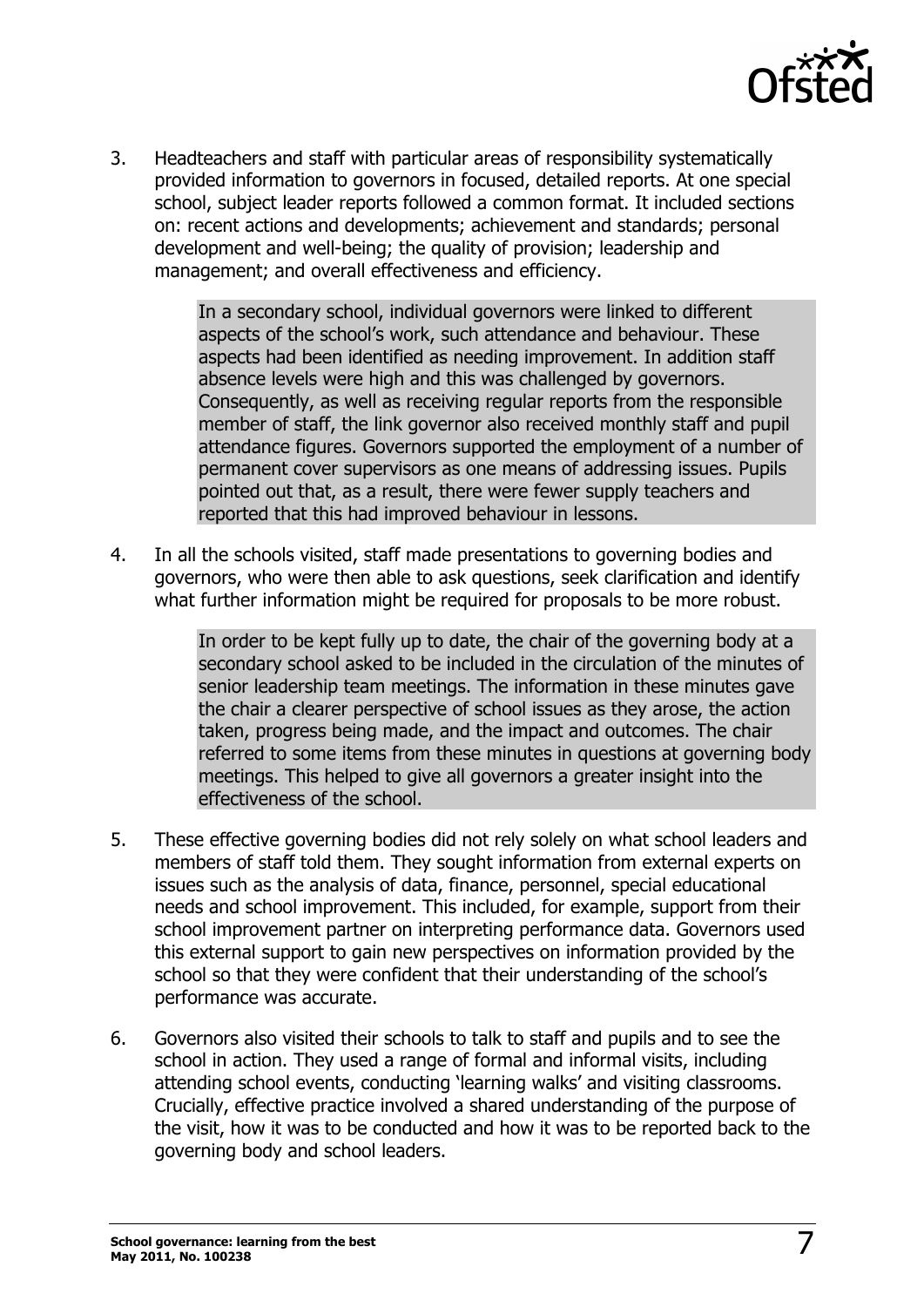

3. Headteachers and staff with particular areas of responsibility systematically provided information to governors in focused, detailed reports. At one special school, subject leader reports followed a common format. It included sections on: recent actions and developments; achievement and standards; personal development and well-being; the quality of provision; leadership and management; and overall effectiveness and efficiency.

> In a secondary school, individual governors were linked to different aspects of the school's work, such attendance and behaviour. These aspects had been identified as needing improvement. In addition staff absence levels were high and this was challenged by governors. Consequently, as well as receiving regular reports from the responsible member of staff, the link governor also received monthly staff and pupil attendance figures. Governors supported the employment of a number of permanent cover supervisors as one means of addressing issues. Pupils pointed out that, as a result, there were fewer supply teachers and reported that this had improved behaviour in lessons.

4. In all the schools visited, staff made presentations to governing bodies and governors, who were then able to ask questions, seek clarification and identify what further information might be required for proposals to be more robust.

> In order to be kept fully up to date, the chair of the governing body at a secondary school asked to be included in the circulation of the minutes of senior leadership team meetings. The information in these minutes gave the chair a clearer perspective of school issues as they arose, the action taken, progress being made, and the impact and outcomes. The chair referred to some items from these minutes in questions at governing body meetings. This helped to give all governors a greater insight into the effectiveness of the school.

- 5. These effective governing bodies did not rely solely on what school leaders and members of staff told them. They sought information from external experts on issues such as the analysis of data, finance, personnel, special educational needs and school improvement. This included, for example, support from their school improvement partner on interpreting performance data. Governors used this external support to gain new perspectives on information provided by the school so that they were confident that their understanding of the school's performance was accurate.
- 6. Governors also visited their schools to talk to staff and pupils and to see the school in action. They used a range of formal and informal visits, including attending school events, conducting 'learning walks' and visiting classrooms. Crucially, effective practice involved a shared understanding of the purpose of the visit, how it was to be conducted and how it was to be reported back to the governing body and school leaders.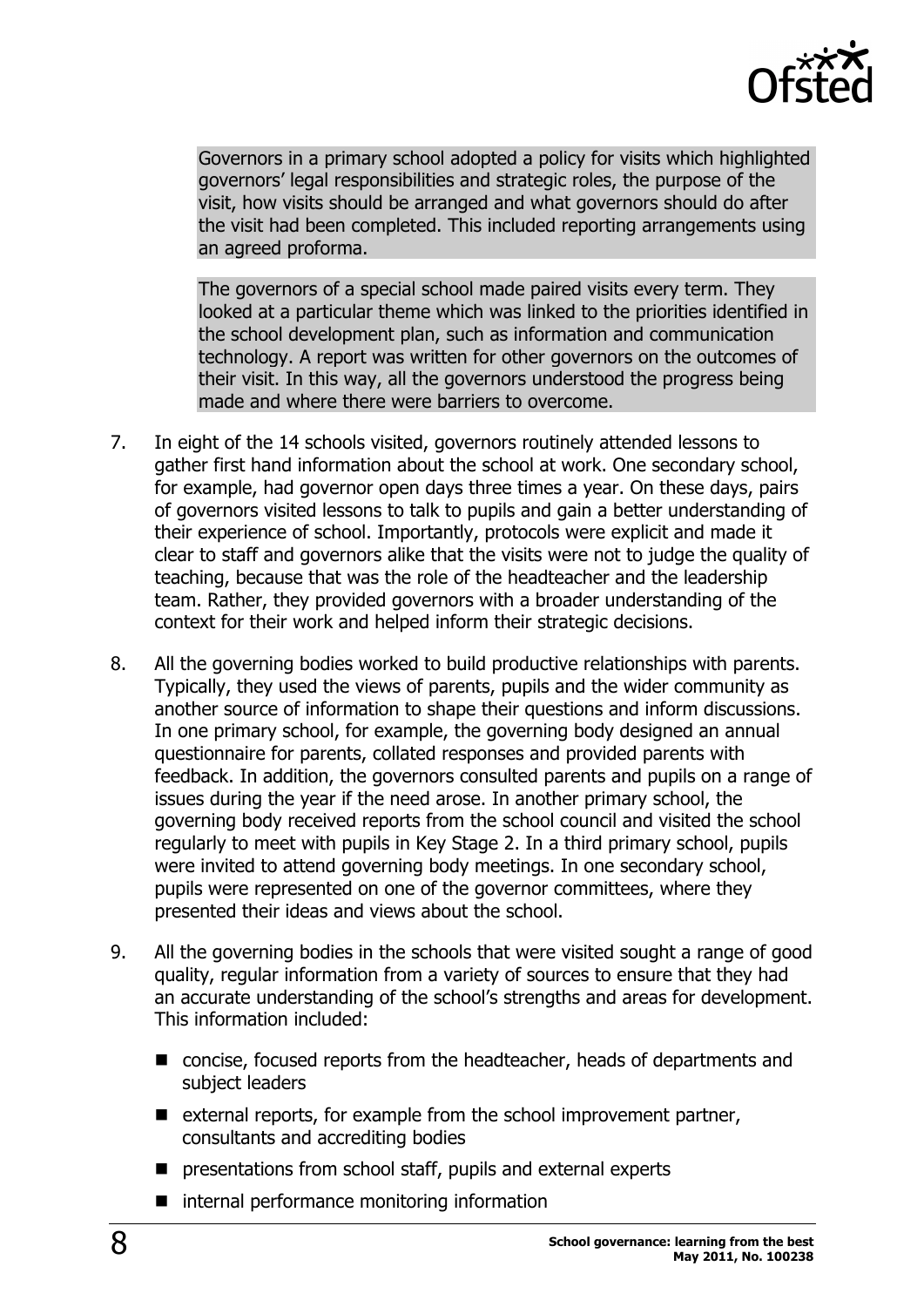

Governors in a primary school adopted a policy for visits which highlighted governors' legal responsibilities and strategic roles, the purpose of the visit, how visits should be arranged and what governors should do after the visit had been completed. This included reporting arrangements using an agreed proforma.

The governors of a special school made paired visits every term. They looked at a particular theme which was linked to the priorities identified in the school development plan, such as information and communication technology. A report was written for other governors on the outcomes of their visit. In this way, all the governors understood the progress being made and where there were barriers to overcome.

- 7. In eight of the 14 schools visited, governors routinely attended lessons to gather first hand information about the school at work. One secondary school, for example, had governor open days three times a year. On these days, pairs of governors visited lessons to talk to pupils and gain a better understanding of their experience of school. Importantly, protocols were explicit and made it clear to staff and governors alike that the visits were not to judge the quality of teaching, because that was the role of the headteacher and the leadership team. Rather, they provided governors with a broader understanding of the context for their work and helped inform their strategic decisions.
- 8. All the governing bodies worked to build productive relationships with parents. Typically, they used the views of parents, pupils and the wider community as another source of information to shape their questions and inform discussions. In one primary school, for example, the governing body designed an annual questionnaire for parents, collated responses and provided parents with feedback. In addition, the governors consulted parents and pupils on a range of issues during the year if the need arose. In another primary school, the governing body received reports from the school council and visited the school regularly to meet with pupils in Key Stage 2. In a third primary school, pupils were invited to attend governing body meetings. In one secondary school, pupils were represented on one of the governor committees, where they presented their ideas and views about the school.
- 9. All the governing bodies in the schools that were visited sought a range of good quality, regular information from a variety of sources to ensure that they had an accurate understanding of the school's strengths and areas for development. This information included:
	- $\blacksquare$  concise, focused reports from the headteacher, heads of departments and subject leaders
	- $\blacksquare$  external reports, for example from the school improvement partner, consultants and accrediting bodies
	- $\blacksquare$  presentations from school staff, pupils and external experts
	- $\blacksquare$  internal performance monitoring information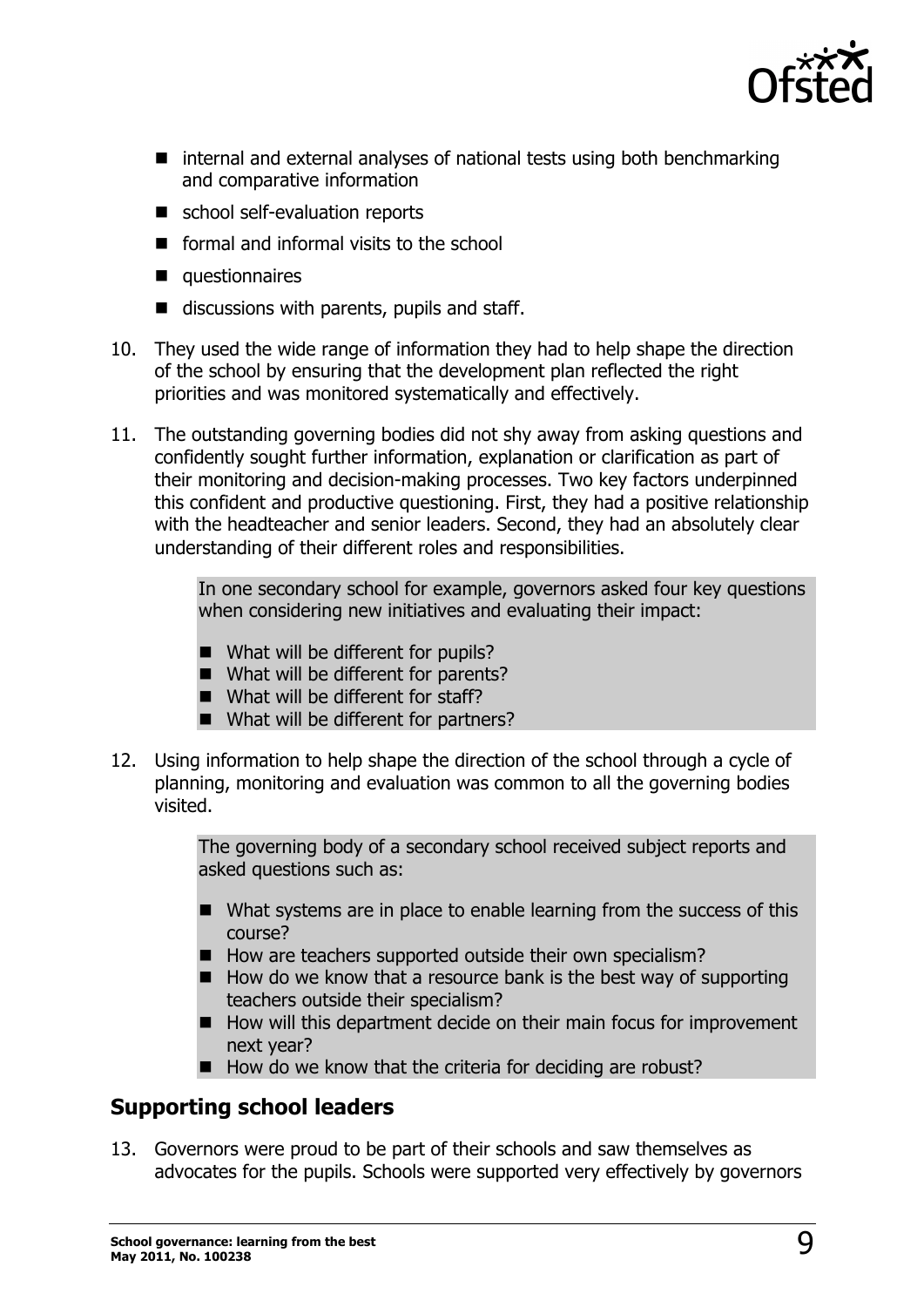

- $\blacksquare$  internal and external analyses of national tests using both benchmarking and comparative information
- school self-evaluation reports
- $\blacksquare$  formal and informal visits to the school
- $\blacksquare$  questionnaires
- $\blacksquare$  discussions with parents, pupils and staff.
- 10. They used the wide range of information they had to help shape the direction of the school by ensuring that the development plan reflected the right priorities and was monitored systematically and effectively.
- 11. The outstanding governing bodies did not shy away from asking questions and confidently sought further information, explanation or clarification as part of their monitoring and decision-making processes. Two key factors underpinned this confident and productive questioning. First, they had a positive relationship with the headteacher and senior leaders. Second, they had an absolutely clear understanding of their different roles and responsibilities.

In one secondary school for example, governors asked four key questions when considering new initiatives and evaluating their impact:

- $\blacksquare$  What will be different for pupils?
- $\blacksquare$  What will be different for parents?
- $\blacksquare$  What will be different for staff?
- $\blacksquare$  What will be different for partners?
- 12. Using information to help shape the direction of the school through a cycle of planning, monitoring and evaluation was common to all the governing bodies visited.

The governing body of a secondary school received subject reports and asked questions such as:

- $\blacksquare$  What systems are in place to enable learning from the success of this course?
- $\blacksquare$  How are teachers supported outside their own specialism?
- $\blacksquare$  How do we know that a resource bank is the best way of supporting teachers outside their specialism?
- $\blacksquare$  How will this department decide on their main focus for improvement next year?
- $\blacksquare$  How do we know that the criteria for deciding are robust?

### **Supporting school leaders**

13. Governors were proud to be part of their schools and saw themselves as advocates for the pupils. Schools were supported very effectively by governors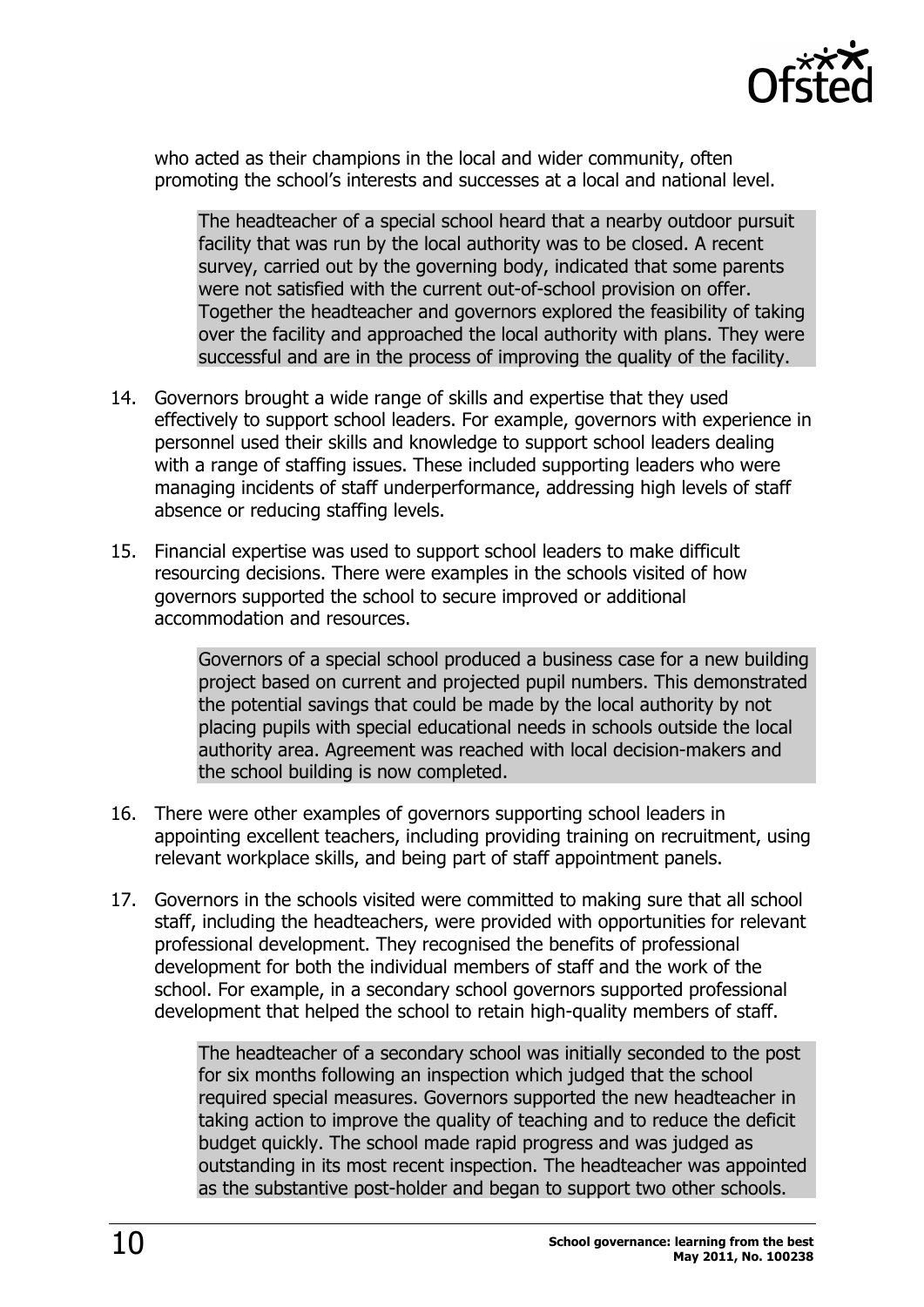

who acted as their champions in the local and wider community, often promoting the school's interests and successes at a local and national level.

The headteacher of a special school heard that a nearby outdoor pursuit facility that was run by the local authority was to be closed. A recent survey, carried out by the governing body, indicated that some parents were not satisfied with the current out-of-school provision on offer. Together the headteacher and governors explored the feasibility of taking over the facility and approached the local authority with plans. They were successful and are in the process of improving the quality of the facility.

- 14. Governors brought a wide range of skills and expertise that they used effectively to support school leaders. For example, governors with experience in personnel used their skills and knowledge to support school leaders dealing with a range of staffing issues. These included supporting leaders who were managing incidents of staff underperformance, addressing high levels of staff absence or reducing staffing levels.
- 15. Financial expertise was used to support school leaders to make difficult resourcing decisions. There were examples in the schools visited of how governors supported the school to secure improved or additional accommodation and resources.

Governors of a special school produced a business case for a new building project based on current and projected pupil numbers. This demonstrated the potential savings that could be made by the local authority by not placing pupils with special educational needs in schools outside the local authority area. Agreement was reached with local decision-makers and the school building is now completed.

- 16. There were other examples of governors supporting school leaders in appointing excellent teachers, including providing training on recruitment, using relevant workplace skills, and being part of staff appointment panels.
- 17. Governors in the schools visited were committed to making sure that all school staff, including the headteachers, were provided with opportunities for relevant professional development. They recognised the benefits of professional development for both the individual members of staff and the work of the school. For example, in a secondary school governors supported professional development that helped the school to retain high-quality members of staff.

The headteacher of a secondary school was initially seconded to the post for six months following an inspection which judged that the school required special measures. Governors supported the new headteacher in taking action to improve the quality of teaching and to reduce the deficit budget quickly. The school made rapid progress and was judged as outstanding in its most recent inspection. The headteacher was appointed as the substantive post-holder and began to support two other schools.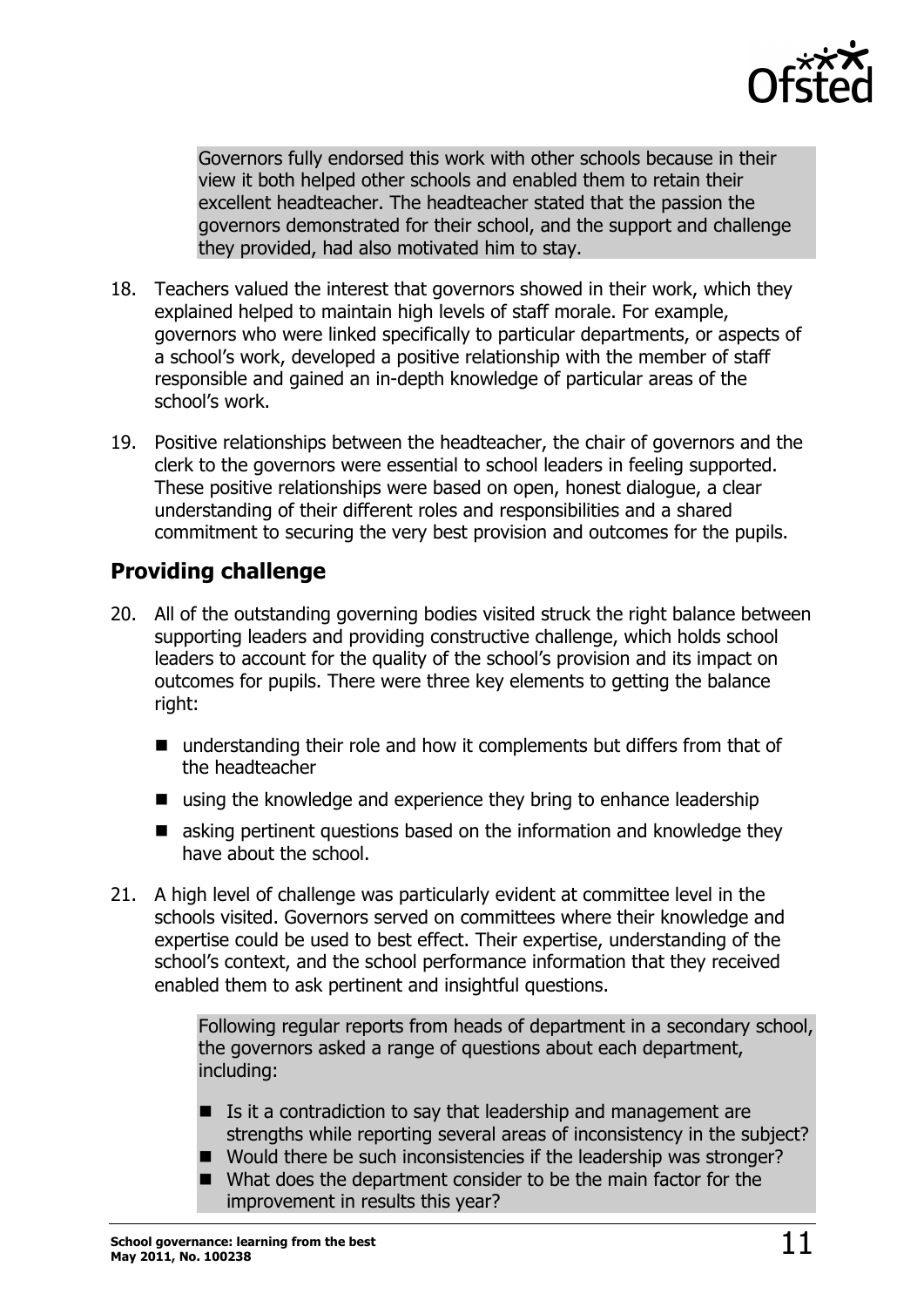

Governors fully endorsed this work with other schools because in their view it both helped other schools and enabled them to retain their excellent headteacher. The headteacher stated that the passion the governors demonstrated for their school, and the support and challenge they provided, had also motivated him to stay.

- 18. Teachers valued the interest that governors showed in their work, which they explained helped to maintain high levels of staff morale. For example, governors who were linked specifically to particular departments, or aspects of a school's work, developed a positive relationship with the member of staff responsible and gained an in-depth knowledge of particular areas of the school's work.
- 19. Positive relationships between the headteacher, the chair of governors and the clerk to the governors were essential to school leaders in feeling supported. These positive relationships were based on open, honest dialogue, a clear understanding of their different roles and responsibilities and a shared commitment to securing the very best provision and outcomes for the pupils.

### **Providing challenge**

- 20. All of the outstanding governing bodies visited struck the right balance between supporting leaders and providing constructive challenge, which holds school leaders to account for the quality of the school's provision and its impact on outcomes for pupils. There were three key elements to getting the balance right:
	- $\blacksquare$  understanding their role and how it complements but differs from that of the headteacher
	- $\blacksquare$  using the knowledge and experience they bring to enhance leadership
	- $\blacksquare$  asking pertinent questions based on the information and knowledge they have about the school.
- 21. A high level of challenge was particularly evident at committee level in the schools visited. Governors served on committees where their knowledge and expertise could be used to best effect. Their expertise, understanding of the school's context, and the school performance information that they received enabled them to ask pertinent and insightful questions.

Following regular reports from heads of department in a secondary school, the governors asked a range of questions about each department, including:

- $\blacksquare$  Is it a contradiction to say that leadership and management are strengths while reporting several areas of inconsistency in the subject?
- Would there be such inconsistencies if the leadership was stronger?
- $\blacksquare$  What does the department consider to be the main factor for the improvement in results this year?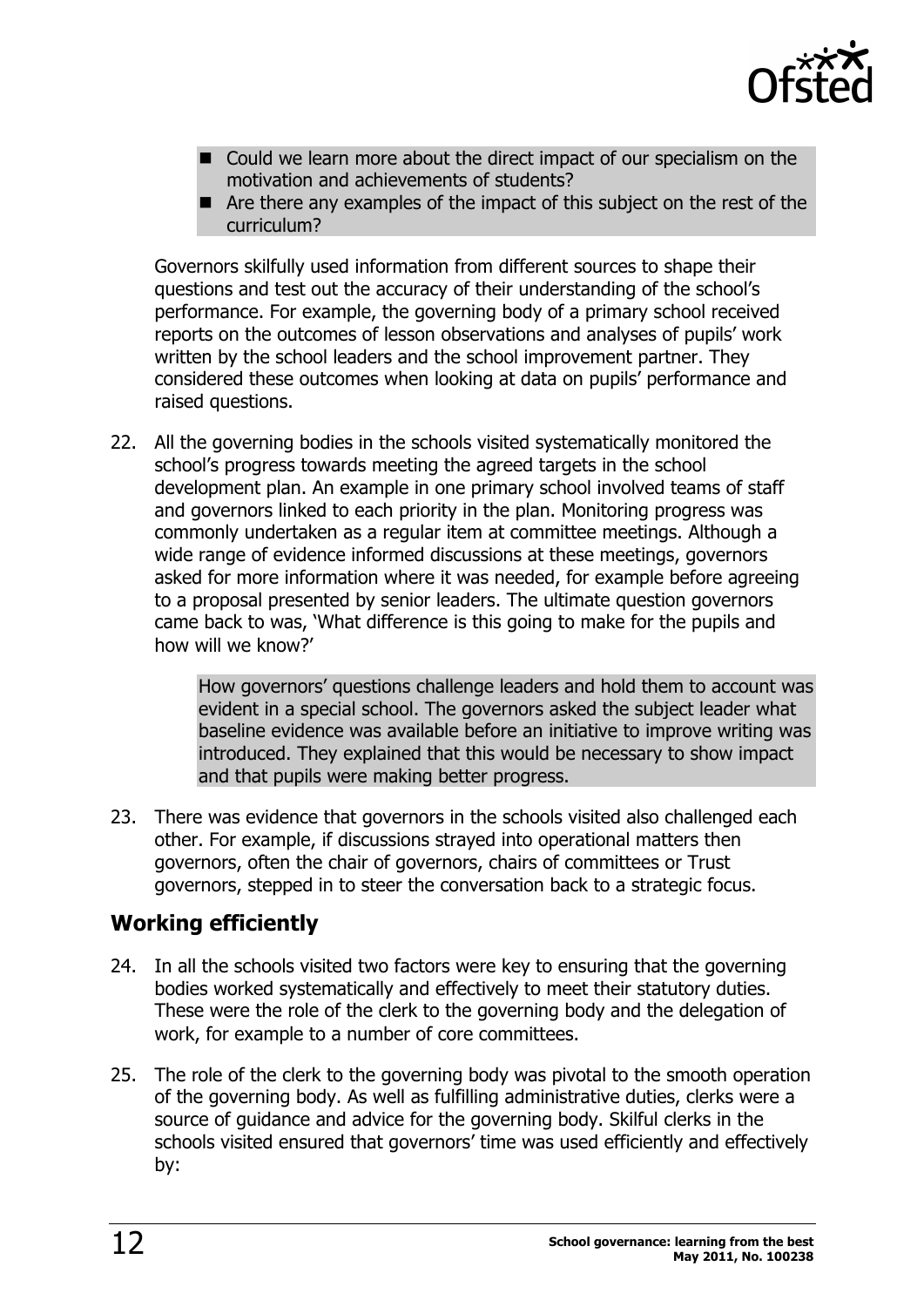

- $\blacksquare$  Could we learn more about the direct impact of our specialism on the motivation and achievements of students?
- $\blacksquare$  Are there any examples of the impact of this subject on the rest of the curriculum?

Governors skilfully used information from different sources to shape their questions and test out the accuracy of their understanding of the school's performance. For example, the governing body of a primary school received reports on the outcomes of lesson observations and analyses of pupils' work written by the school leaders and the school improvement partner. They considered these outcomes when looking at data on pupils' performance and raised questions.

22. All the governing bodies in the schools visited systematically monitored the school's progress towards meeting the agreed targets in the school development plan. An example in one primary school involved teams of staff and governors linked to each priority in the plan. Monitoring progress was commonly undertaken as a regular item at committee meetings. Although a wide range of evidence informed discussions at these meetings, governors asked for more information where it was needed, for example before agreeing to a proposal presented by senior leaders. The ultimate question governors came back to was, 'What difference is this going to make for the pupils and how will we know?'

> How governors' questions challenge leaders and hold them to account was evident in a special school. The governors asked the subject leader what baseline evidence was available before an initiative to improve writing was introduced. They explained that this would be necessary to show impact and that pupils were making better progress.

23. There was evidence that governors in the schools visited also challenged each other. For example, if discussions strayed into operational matters then governors, often the chair of governors, chairs of committees or Trust governors, stepped in to steer the conversation back to a strategic focus.

### **Working efficiently**

- 24. In all the schools visited two factors were key to ensuring that the governing bodies worked systematically and effectively to meet their statutory duties. These were the role of the clerk to the governing body and the delegation of work, for example to a number of core committees.
- 25. The role of the clerk to the governing body was pivotal to the smooth operation of the governing body. As well as fulfilling administrative duties, clerks were a source of guidance and advice for the governing body. Skilful clerks in the schools visited ensured that governors' time was used efficiently and effectively by: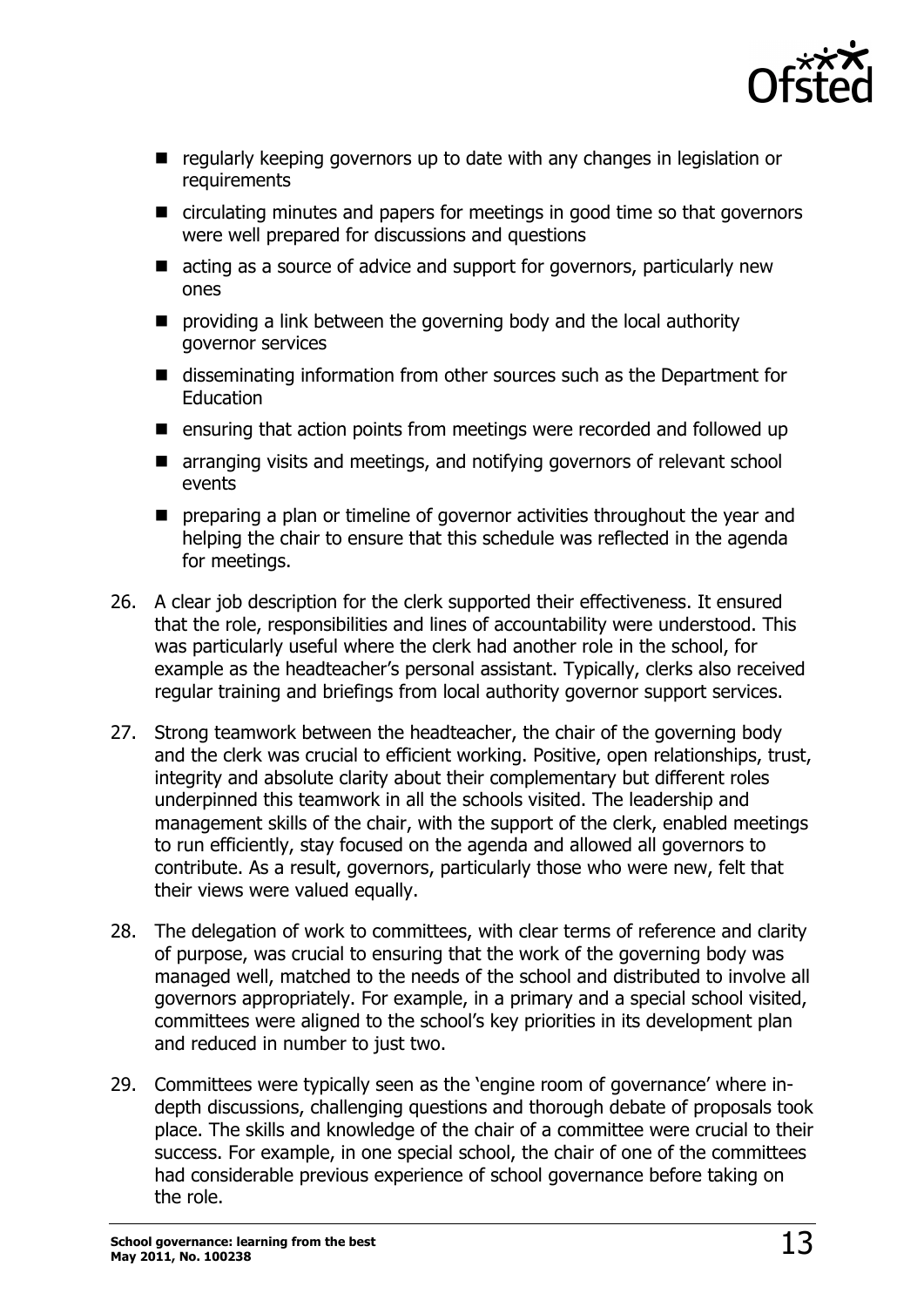

- regularly keeping governors up to date with any changes in legislation or requirements
- $\blacksquare$  circulating minutes and papers for meetings in good time so that governors were well prepared for discussions and questions
- $\blacksquare$  acting as a source of advice and support for governors, particularly new ones
- $\blacksquare$  providing a link between the governing body and the local authority governor services
- $\blacksquare$  disseminating information from other sources such as the Department for Education
- $\blacksquare$  ensuring that action points from meetings were recorded and followed up
- $\blacksquare$  arranging visits and meetings, and notifying governors of relevant school events
- $\blacksquare$  preparing a plan or timeline of governor activities throughout the year and helping the chair to ensure that this schedule was reflected in the agenda for meetings.
- 26. A clear job description for the clerk supported their effectiveness. It ensured that the role, responsibilities and lines of accountability were understood. This was particularly useful where the clerk had another role in the school, for example as the headteacher's personal assistant. Typically, clerks also received regular training and briefings from local authority governor support services.
- 27. Strong teamwork between the headteacher, the chair of the governing body and the clerk was crucial to efficient working. Positive, open relationships, trust, integrity and absolute clarity about their complementary but different roles underpinned this teamwork in all the schools visited. The leadership and management skills of the chair, with the support of the clerk, enabled meetings to run efficiently, stay focused on the agenda and allowed all governors to contribute. As a result, governors, particularly those who were new, felt that their views were valued equally.
- 28. The delegation of work to committees, with clear terms of reference and clarity of purpose, was crucial to ensuring that the work of the governing body was managed well, matched to the needs of the school and distributed to involve all governors appropriately. For example, in a primary and a special school visited, committees were aligned to the school's key priorities in its development plan and reduced in number to just two.
- 29. Committees were typically seen as the 'engine room of governance' where indepth discussions, challenging questions and thorough debate of proposals took place. The skills and knowledge of the chair of a committee were crucial to their success. For example, in one special school, the chair of one of the committees had considerable previous experience of school governance before taking on the role.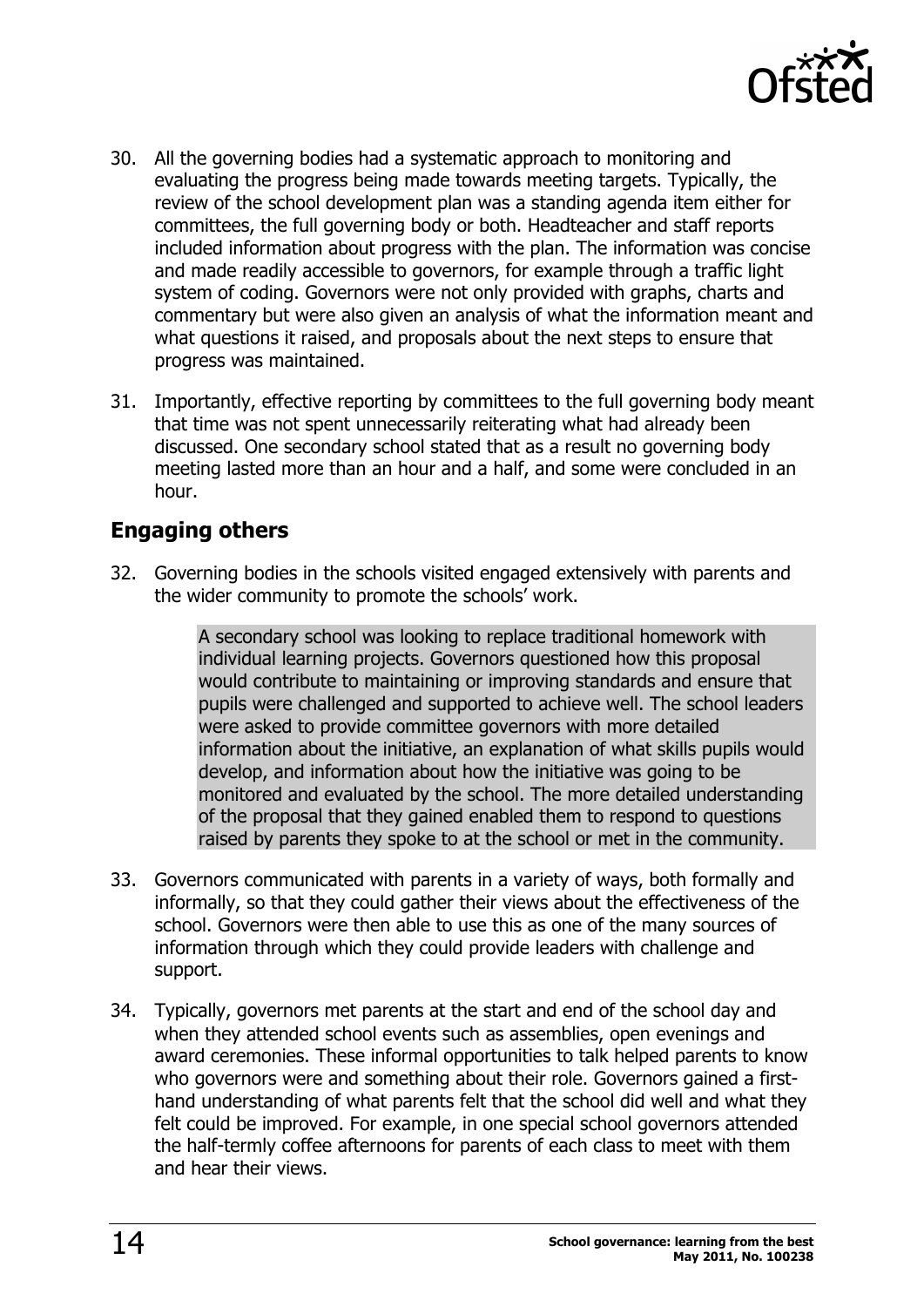

- 30. All the governing bodies had a systematic approach to monitoring and evaluating the progress being made towards meeting targets. Typically, the review of the school development plan was a standing agenda item either for committees, the full governing body or both. Headteacher and staff reports included information about progress with the plan. The information was concise and made readily accessible to governors, for example through a traffic light system of coding. Governors were not only provided with graphs, charts and commentary but were also given an analysis of what the information meant and what questions it raised, and proposals about the next steps to ensure that progress was maintained.
- 31. Importantly, effective reporting by committees to the full governing body meant that time was not spent unnecessarily reiterating what had already been discussed. One secondary school stated that as a result no governing body meeting lasted more than an hour and a half, and some were concluded in an hour.

### **Engaging others**

32. Governing bodies in the schools visited engaged extensively with parents and the wider community to promote the schools' work.

> A secondary school was looking to replace traditional homework with individual learning projects. Governors questioned how this proposal would contribute to maintaining or improving standards and ensure that pupils were challenged and supported to achieve well. The school leaders were asked to provide committee governors with more detailed information about the initiative, an explanation of what skills pupils would develop, and information about how the initiative was going to be monitored and evaluated by the school. The more detailed understanding of the proposal that they gained enabled them to respond to questions raised by parents they spoke to at the school or met in the community.

- 33. Governors communicated with parents in a variety of ways, both formally and informally, so that they could gather their views about the effectiveness of the school. Governors were then able to use this as one of the many sources of information through which they could provide leaders with challenge and support.
- 34. Typically, governors met parents at the start and end of the school day and when they attended school events such as assemblies, open evenings and award ceremonies. These informal opportunities to talk helped parents to know who governors were and something about their role. Governors gained a firsthand understanding of what parents felt that the school did well and what they felt could be improved. For example, in one special school governors attended the half-termly coffee afternoons for parents of each class to meet with them and hear their views.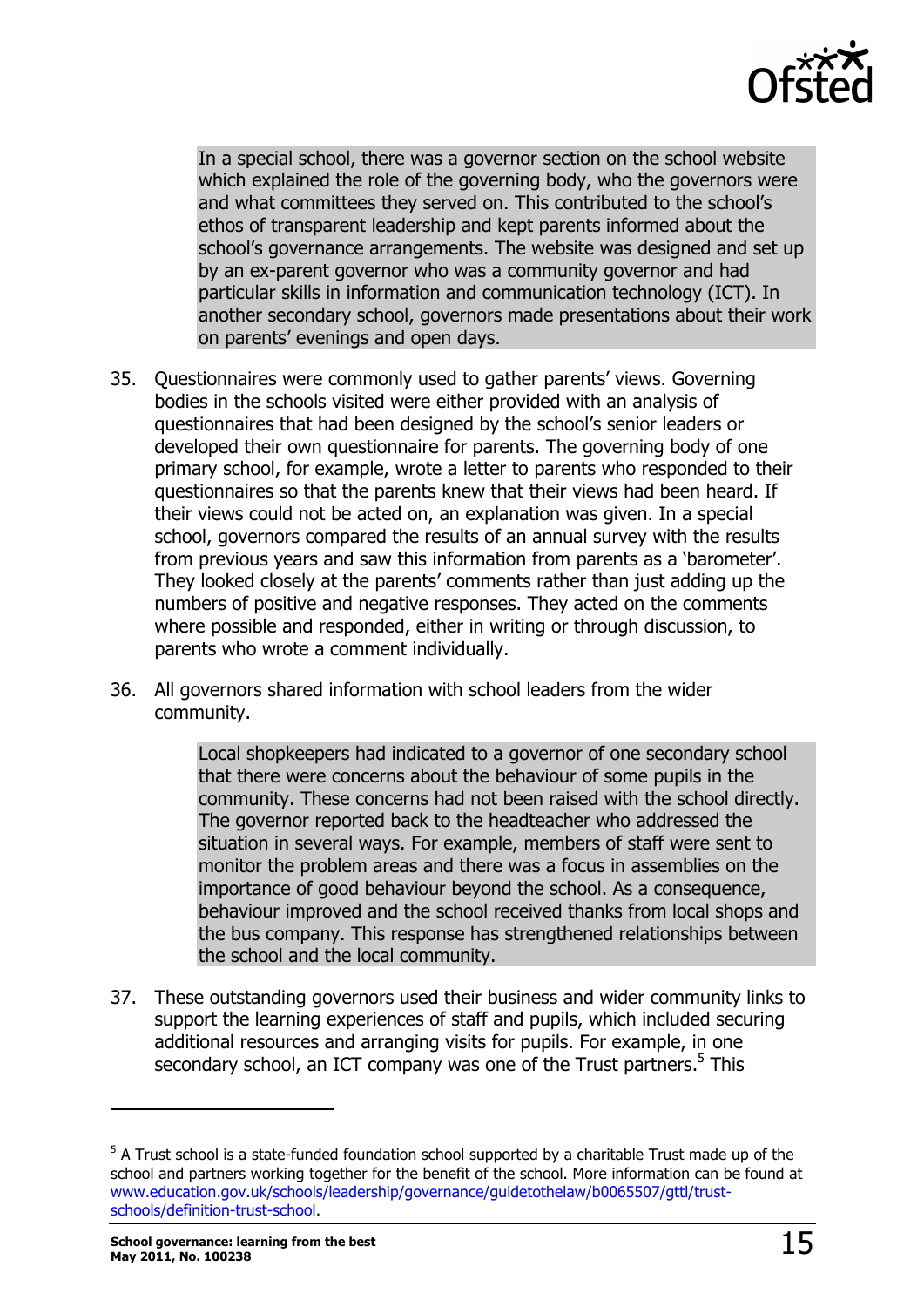

In a special school, there was a governor section on the school website which explained the role of the governing body, who the governors were and what committees they served on. This contributed to the school's ethos of transparent leadership and kept parents informed about the school's governance arrangements. The website was designed and set up by an ex-parent governor who was a community governor and had particular skills in information and communication technology (ICT). In another secondary school, governors made presentations about their work on parents' evenings and open days.

- 35. Questionnaires were commonly used to gather parents' views. Governing bodies in the schools visited were either provided with an analysis of questionnaires that had been designed by the school's senior leaders or developed their own questionnaire for parents. The governing body of one primary school, for example, wrote a letter to parents who responded to their questionnaires so that the parents knew that their views had been heard. If their views could not be acted on, an explanation was given. In a special school, governors compared the results of an annual survey with the results from previous years and saw this information from parents as a 'barometer'. They looked closely at the parents' comments rather than just adding up the numbers of positive and negative responses. They acted on the comments where possible and responded, either in writing or through discussion, to parents who wrote a comment individually.
- 36. All governors shared information with school leaders from the wider community.

Local shopkeepers had indicated to a governor of one secondary school that there were concerns about the behaviour of some pupils in the community. These concerns had not been raised with the school directly. The governor reported back to the headteacher who addressed the situation in several ways. For example, members of staff were sent to monitor the problem areas and there was a focus in assemblies on the importance of good behaviour beyond the school. As a consequence, behaviour improved and the school received thanks from local shops and the bus company. This response has strengthened relationships between the school and the local community.

37. These outstanding governors used their business and wider community links to support the learning experiences of staff and pupils, which included securing additional resources and arranging visits for pupils. For example, in one secondary school, an ICT company was one of the Trust partners.<sup>5</sup> This

j

<sup>&</sup>lt;sup>5</sup> A Trust school is a state-funded foundation school supported by a charitable Trust made up of the school and partners working together for the benefit of the school. More information can be found at www.education.gov.uk/schools/leadership/governance/guidetothelaw/b0065507/gttl/trustschools/definition-trust-school.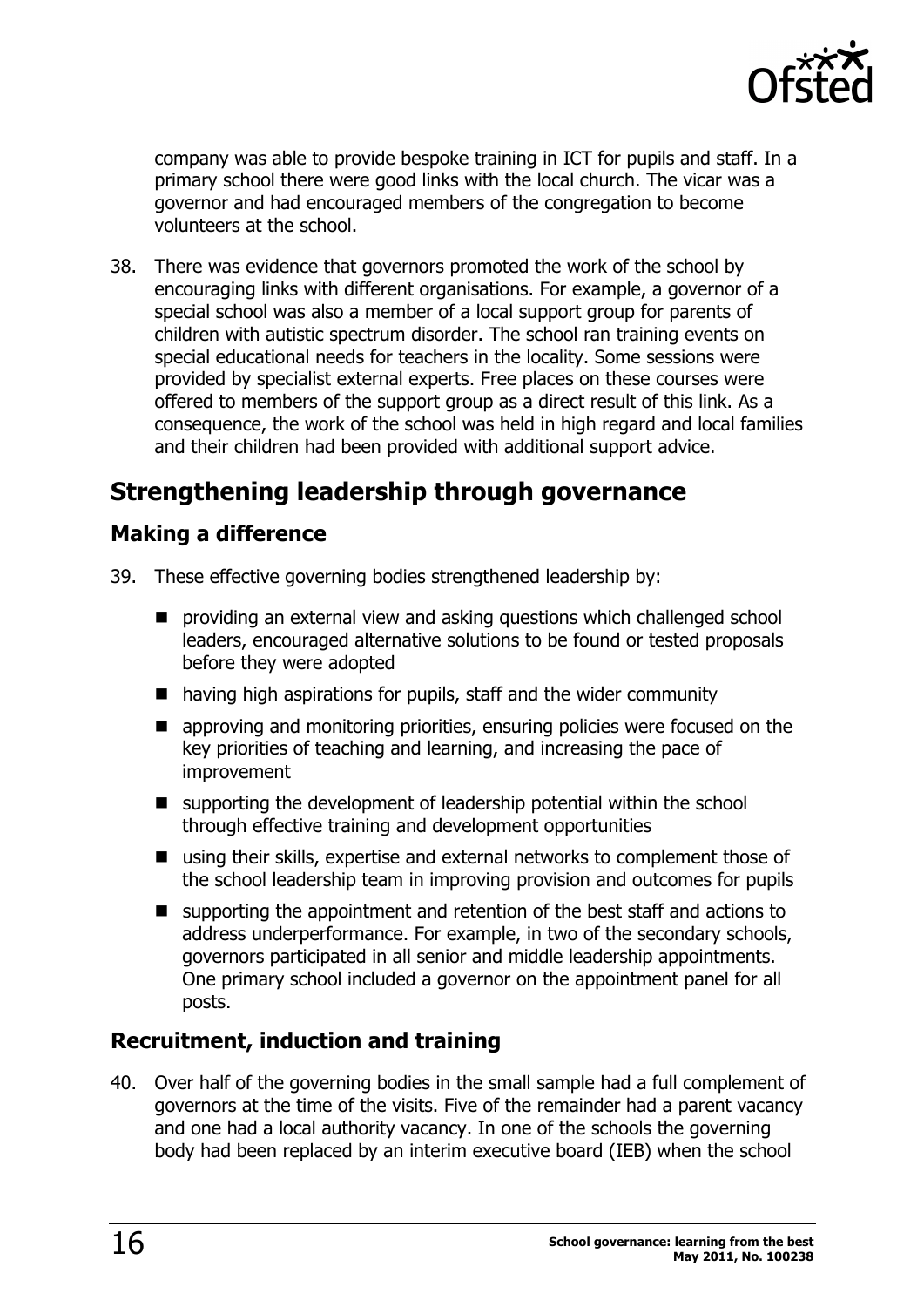

company was able to provide bespoke training in ICT for pupils and staff. In a primary school there were good links with the local church. The vicar was a governor and had encouraged members of the congregation to become volunteers at the school.

38. There was evidence that governors promoted the work of the school by encouraging links with different organisations. For example, a governor of a special school was also a member of a local support group for parents of children with autistic spectrum disorder. The school ran training events on special educational needs for teachers in the locality. Some sessions were provided by specialist external experts. Free places on these courses were offered to members of the support group as a direct result of this link. As a consequence, the work of the school was held in high regard and local families and their children had been provided with additional support advice.

# **Strengthening leadership through governance**

### **Making a difference**

- 39. These effective governing bodies strengthened leadership by:
	- $\blacksquare$  providing an external view and asking questions which challenged school leaders, encouraged alternative solutions to be found or tested proposals before they were adopted
	- $\blacksquare$  having high aspirations for pupils, staff and the wider community
	- $\blacksquare$  approving and monitoring priorities, ensuring policies were focused on the key priorities of teaching and learning, and increasing the pace of improvement
	- $\blacksquare$  supporting the development of leadership potential within the school through effective training and development opportunities
	- $\blacksquare$  using their skills, expertise and external networks to complement those of the school leadership team in improving provision and outcomes for pupils
	- $\blacksquare$  supporting the appointment and retention of the best staff and actions to address underperformance. For example, in two of the secondary schools, governors participated in all senior and middle leadership appointments. One primary school included a governor on the appointment panel for all posts.

### **Recruitment, induction and training**

40. Over half of the governing bodies in the small sample had a full complement of governors at the time of the visits. Five of the remainder had a parent vacancy and one had a local authority vacancy. In one of the schools the governing body had been replaced by an interim executive board (IEB) when the school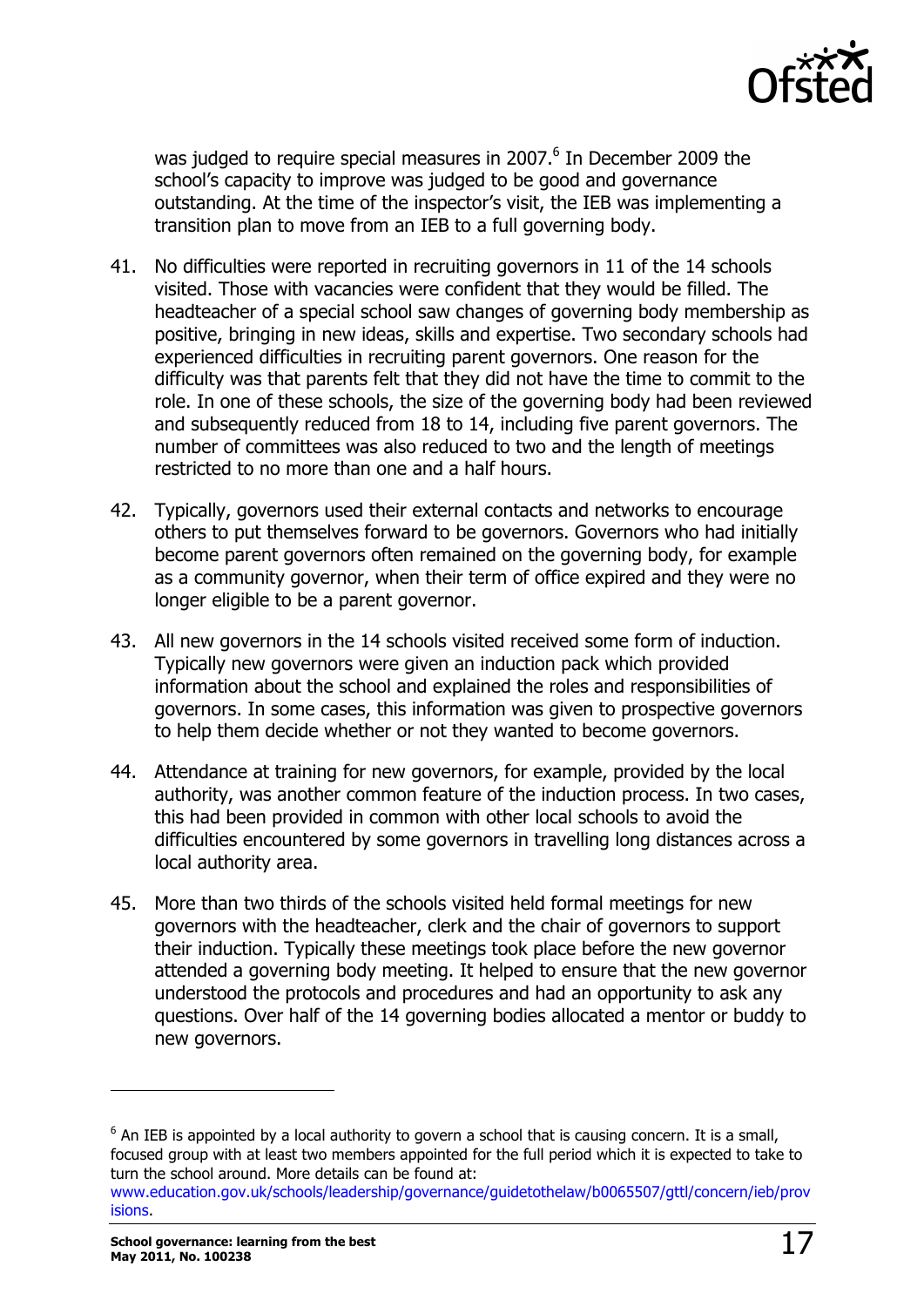

was judged to require special measures in 2007.<sup>6</sup> In December 2009 the school's capacity to improve was judged to be good and governance outstanding. At the time of the inspector's visit, the IEB was implementing a transition plan to move from an IEB to a full governing body.

- 41. No difficulties were reported in recruiting governors in 11 of the 14 schools visited. Those with vacancies were confident that they would be filled. The headteacher of a special school saw changes of governing body membership as positive, bringing in new ideas, skills and expertise. Two secondary schools had experienced difficulties in recruiting parent governors. One reason for the difficulty was that parents felt that they did not have the time to commit to the role. In one of these schools, the size of the governing body had been reviewed and subsequently reduced from 18 to 14, including five parent governors. The number of committees was also reduced to two and the length of meetings restricted to no more than one and a half hours.
- 42. Typically, governors used their external contacts and networks to encourage others to put themselves forward to be governors. Governors who had initially become parent governors often remained on the governing body, for example as a community governor, when their term of office expired and they were no longer eligible to be a parent governor.
- 43. All new governors in the 14 schools visited received some form of induction. Typically new governors were given an induction pack which provided information about the school and explained the roles and responsibilities of governors. In some cases, this information was given to prospective governors to help them decide whether or not they wanted to become governors.
- 44. Attendance at training for new governors, for example, provided by the local authority, was another common feature of the induction process. In two cases, this had been provided in common with other local schools to avoid the difficulties encountered by some governors in travelling long distances across a local authority area.
- 45. More than two thirds of the schools visited held formal meetings for new governors with the headteacher, clerk and the chair of governors to support their induction. Typically these meetings took place before the new governor attended a governing body meeting. It helped to ensure that the new governor understood the protocols and procedures and had an opportunity to ask any questions. Over half of the 14 governing bodies allocated a mentor or buddy to new governors.

j

 $6$  An IEB is appointed by a local authority to govern a school that is causing concern. It is a small, focused group with at least two members appointed for the full period which it is expected to take to turn the school around. More details can be found at:

www.education.gov.uk/schools/leadership/governance/guidetothelaw/b0065507/gttl/concern/ieb/prov isions.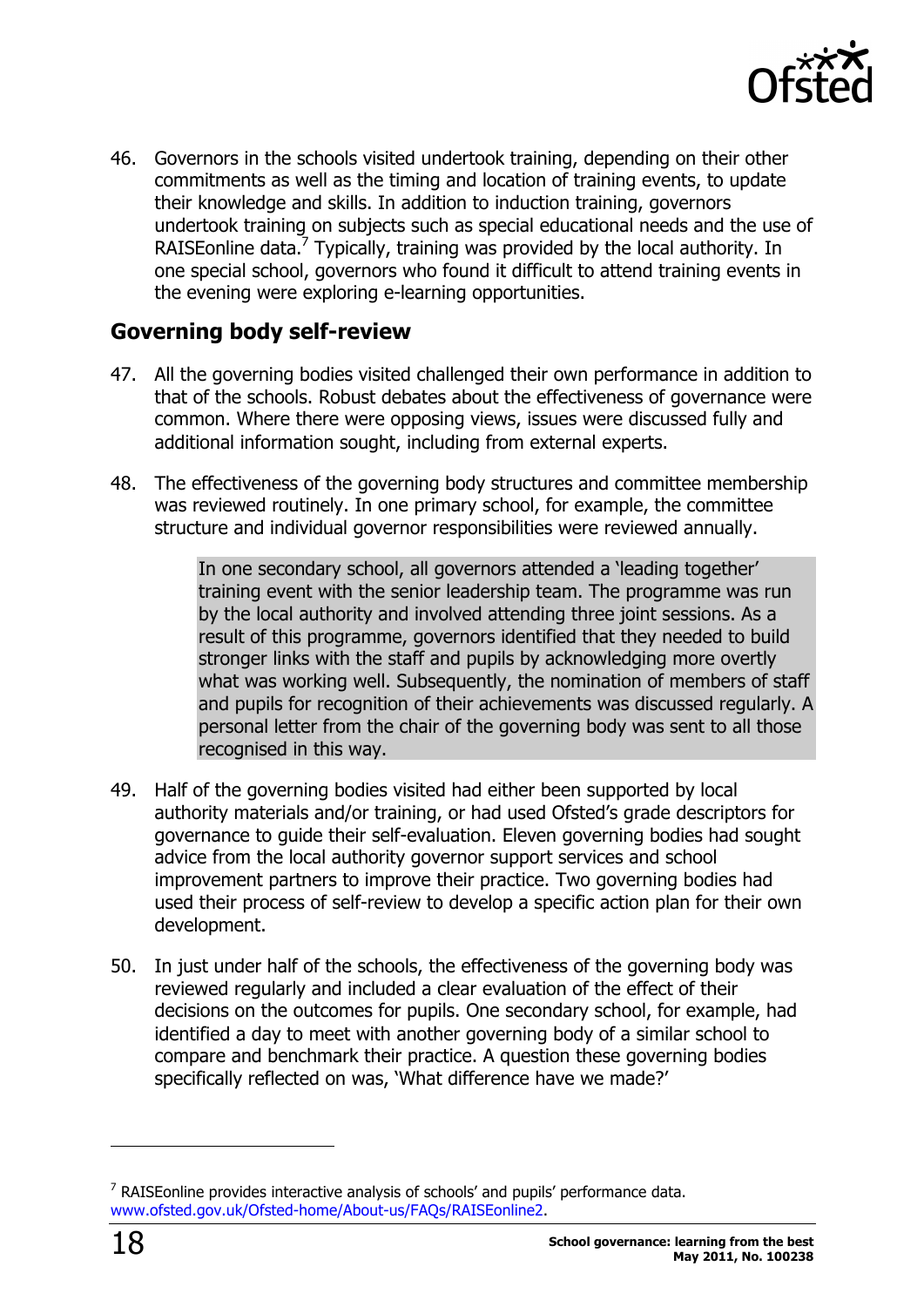

46. Governors in the schools visited undertook training, depending on their other commitments as well as the timing and location of training events, to update their knowledge and skills. In addition to induction training, governors undertook training on subjects such as special educational needs and the use of RAISEonline data.<sup>7</sup> Typically, training was provided by the local authority. In one special school, governors who found it difficult to attend training events in the evening were exploring e-learning opportunities.

### **Governing body self-review**

- 47. All the governing bodies visited challenged their own performance in addition to that of the schools. Robust debates about the effectiveness of governance were common. Where there were opposing views, issues were discussed fully and additional information sought, including from external experts.
- 48. The effectiveness of the governing body structures and committee membership was reviewed routinely. In one primary school, for example, the committee structure and individual governor responsibilities were reviewed annually.

In one secondary school, all governors attended a 'leading together' training event with the senior leadership team. The programme was run by the local authority and involved attending three joint sessions. As a result of this programme, governors identified that they needed to build stronger links with the staff and pupils by acknowledging more overtly what was working well. Subsequently, the nomination of members of staff and pupils for recognition of their achievements was discussed regularly. A personal letter from the chair of the governing body was sent to all those recognised in this way.

- 49. Half of the governing bodies visited had either been supported by local authority materials and/or training, or had used Ofsted's grade descriptors for governance to guide their self-evaluation. Eleven governing bodies had sought advice from the local authority governor support services and school improvement partners to improve their practice. Two governing bodies had used their process of self-review to develop a specific action plan for their own development.
- 50. In just under half of the schools, the effectiveness of the governing body was reviewed regularly and included a clear evaluation of the effect of their decisions on the outcomes for pupils. One secondary school, for example, had identified a day to meet with another governing body of a similar school to compare and benchmark their practice. A question these governing bodies specifically reflected on was, 'What difference have we made?'

j

 $<sup>7</sup>$  RAISEonline provides interactive analysis of schools' and pupils' performance data.</sup> www.ofsted.gov.uk/Ofsted-home/About-us/FAQs/RAISEonline2.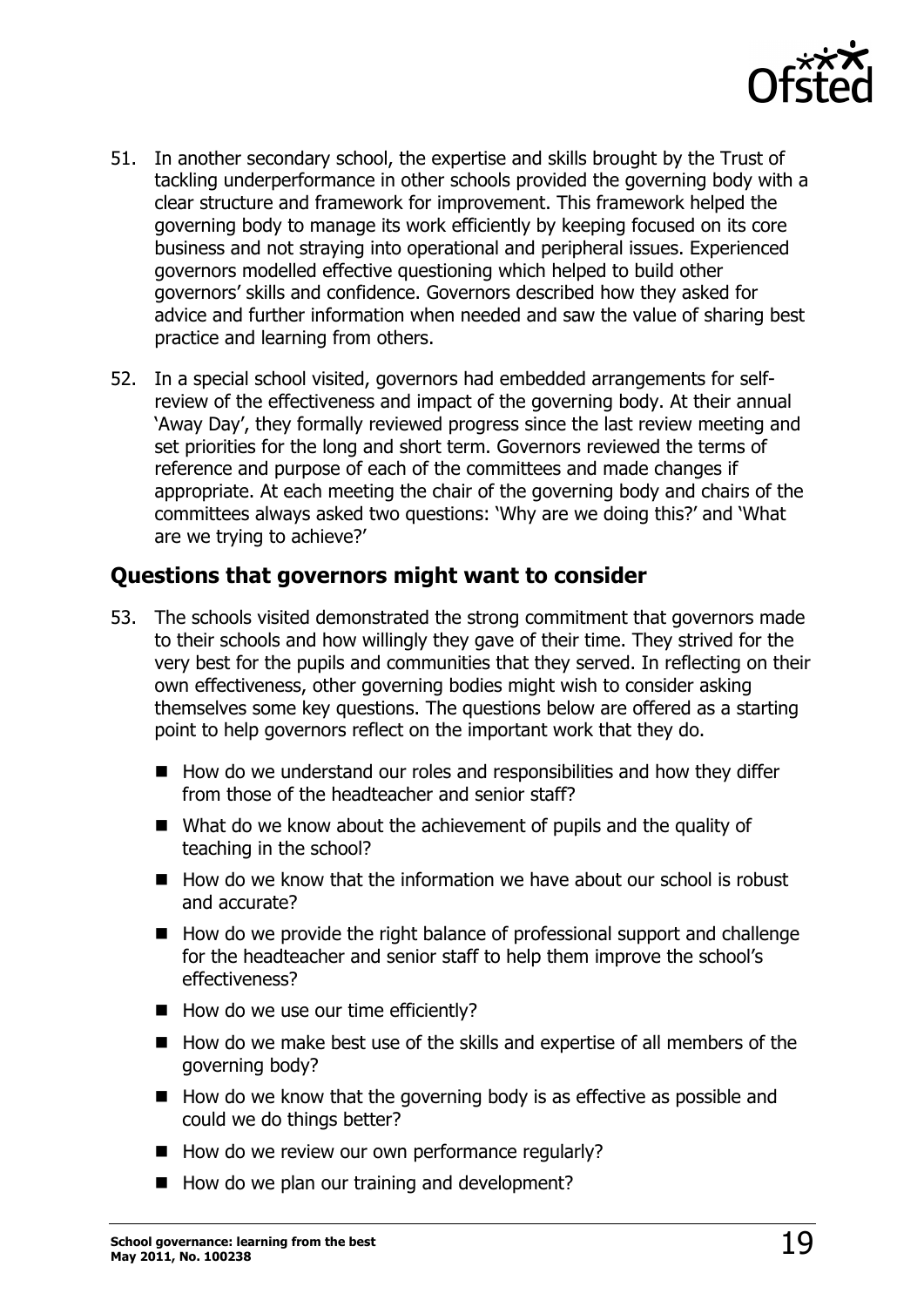

- 51. In another secondary school, the expertise and skills brought by the Trust of tackling underperformance in other schools provided the governing body with a clear structure and framework for improvement. This framework helped the governing body to manage its work efficiently by keeping focused on its core business and not straying into operational and peripheral issues. Experienced governors modelled effective questioning which helped to build other governors' skills and confidence. Governors described how they asked for advice and further information when needed and saw the value of sharing best practice and learning from others.
- 52. In a special school visited, governors had embedded arrangements for selfreview of the effectiveness and impact of the governing body. At their annual 'Away Day', they formally reviewed progress since the last review meeting and set priorities for the long and short term. Governors reviewed the terms of reference and purpose of each of the committees and made changes if appropriate. At each meeting the chair of the governing body and chairs of the committees always asked two questions: 'Why are we doing this?' and 'What are we trying to achieve?'

### **Questions that governors might want to consider**

- 53. The schools visited demonstrated the strong commitment that governors made to their schools and how willingly they gave of their time. They strived for the very best for the pupils and communities that they served. In reflecting on their own effectiveness, other governing bodies might wish to consider asking themselves some key questions. The questions below are offered as a starting point to help governors reflect on the important work that they do.
	- $\blacksquare$  How do we understand our roles and responsibilities and how they differ from those of the headteacher and senior staff?
	- $\blacksquare$  What do we know about the achievement of pupils and the quality of teaching in the school?
	- $\blacksquare$  How do we know that the information we have about our school is robust and accurate?
	- How do we provide the right balance of professional support and challenge for the headteacher and senior staff to help them improve the school's effectiveness?
	- $\blacksquare$  How do we use our time efficiently?
	- $\blacksquare$  How do we make best use of the skills and expertise of all members of the governing body?
	- $\blacksquare$  How do we know that the governing body is as effective as possible and could we do things better?
	- $\blacksquare$  How do we review our own performance regularly?
	- $\blacksquare$  How do we plan our training and development?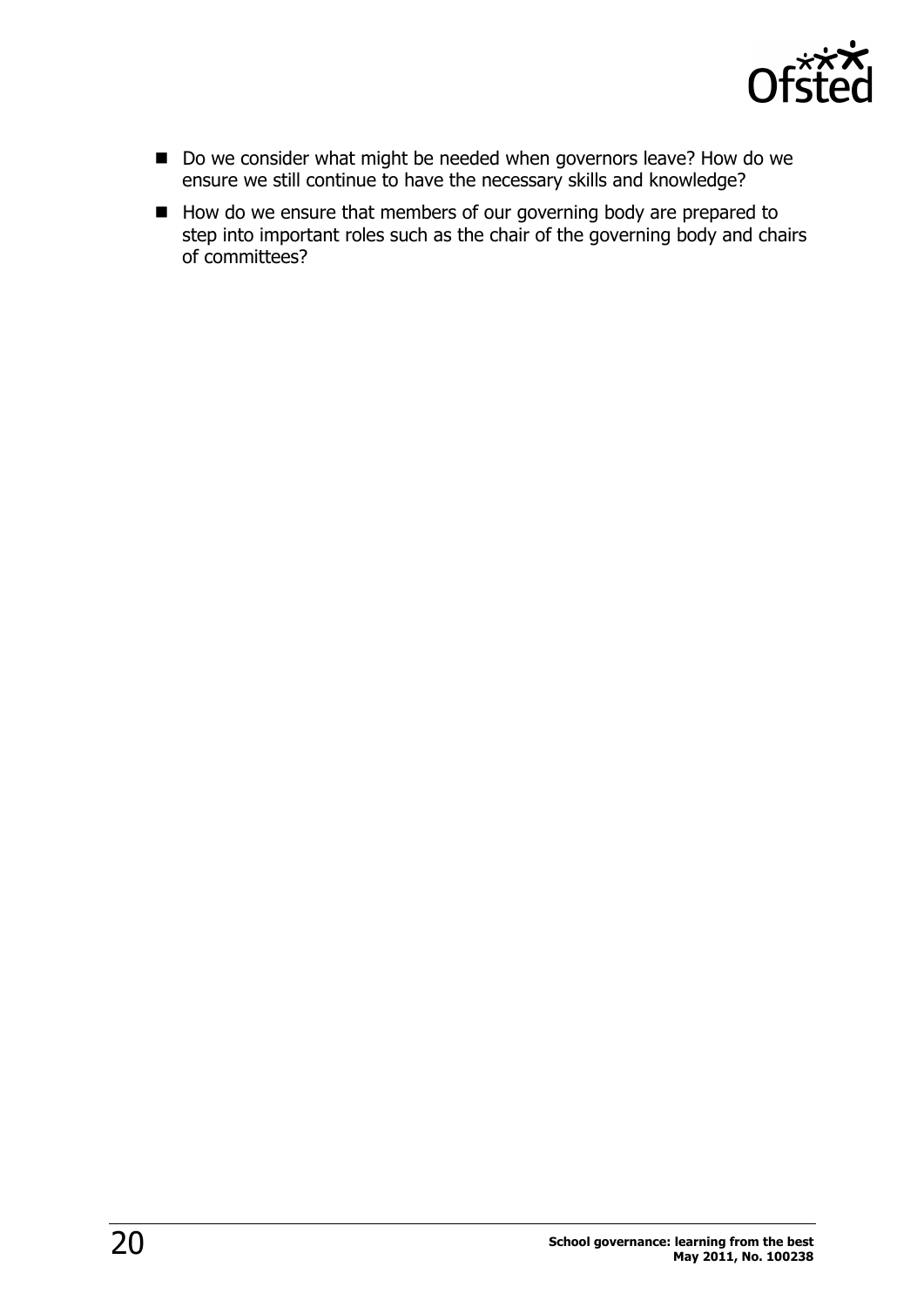

- Do we consider what might be needed when governors leave? How do we ensure we still continue to have the necessary skills and knowledge?
- How do we ensure that members of our governing body are prepared to step into important roles such as the chair of the governing body and chairs of committees?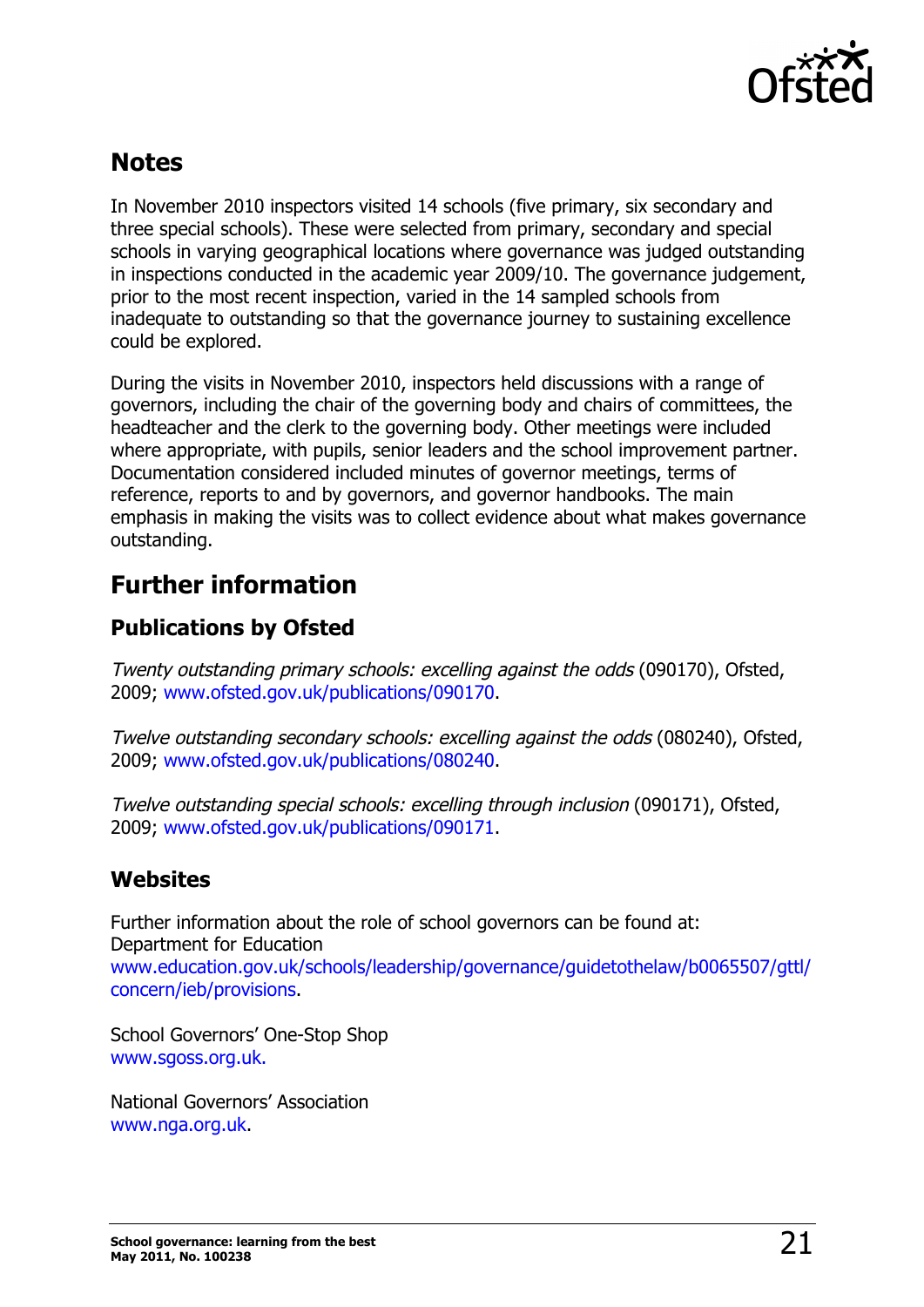

# **Notes**

In November 2010 inspectors visited 14 schools (five primary, six secondary and three special schools). These were selected from primary, secondary and special schools in varying geographical locations where governance was judged outstanding in inspections conducted in the academic year 2009/10. The governance judgement, prior to the most recent inspection, varied in the 14 sampled schools from inadequate to outstanding so that the governance journey to sustaining excellence could be explored.

During the visits in November 2010, inspectors held discussions with a range of governors, including the chair of the governing body and chairs of committees, the headteacher and the clerk to the governing body. Other meetings were included where appropriate, with pupils, senior leaders and the school improvement partner. Documentation considered included minutes of governor meetings, terms of reference, reports to and by governors, and governor handbooks. The main emphasis in making the visits was to collect evidence about what makes governance outstanding.

# **Further information**

# **Publications by Ofsted**

Twenty outstanding primary schools: excelling against the odds (090170), Ofsted, 2009; www.ofsted.gov.uk/publications/090170.

Twelve outstanding secondary schools: excelling against the odds (080240), Ofsted, 2009; www.ofsted.gov.uk/publications/080240.

Twelve outstanding special schools: excelling through inclusion (090171), Ofsted, 2009; www.ofsted.gov.uk/publications/090171.

### **Websites**

Further information about the role of school governors can be found at: Department for Education www.education.gov.uk/schools/leadership/governance/guidetothelaw/b0065507/gttl/ concern/ieb/provisions.

School Governors' One-Stop Shop www.sgoss.org.uk.

National Governors' Association www.nga.org.uk.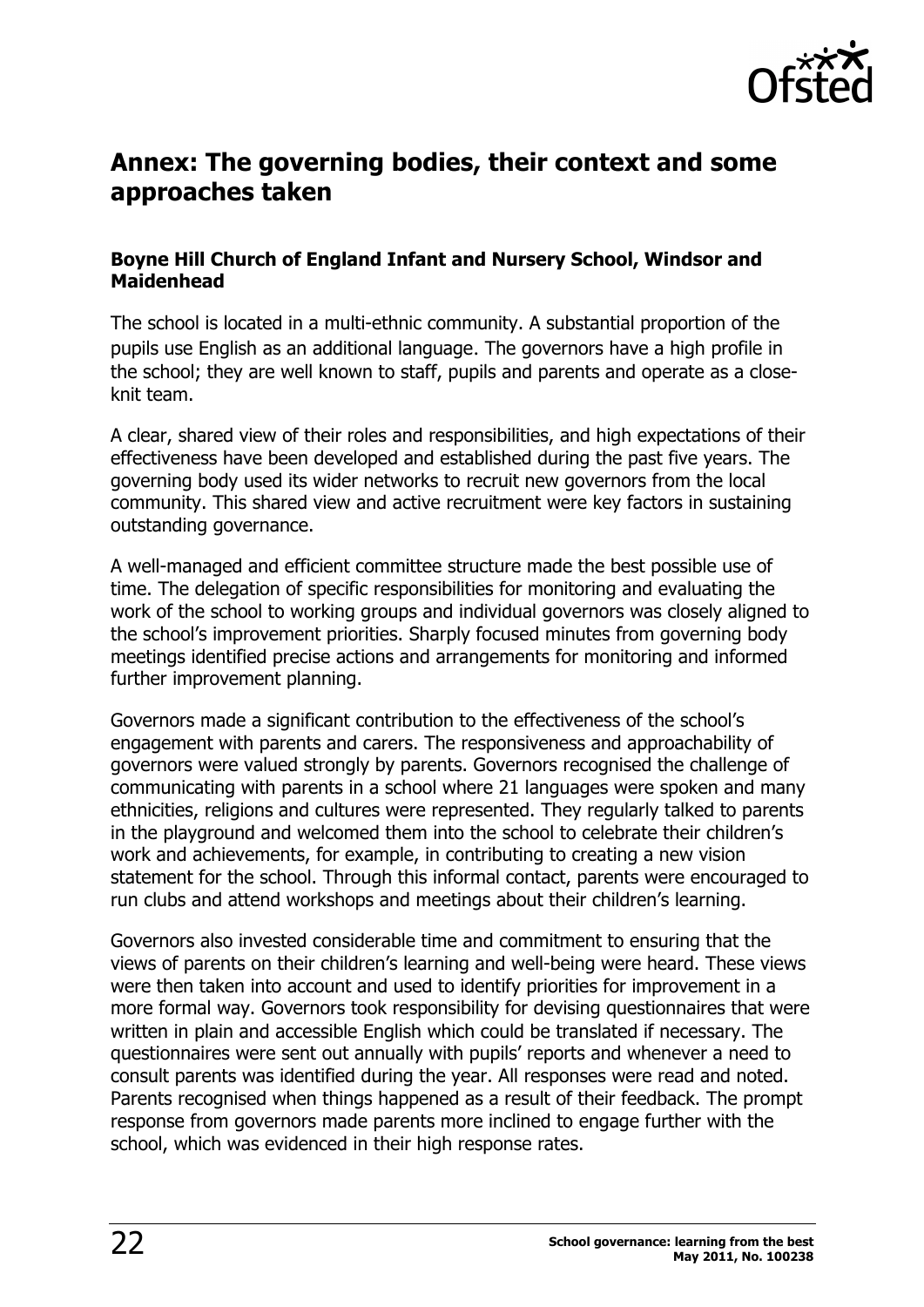

## **Annex: The governing bodies, their context and some approaches taken**

### **Boyne Hill Church of England Infant and Nursery School, Windsor and Maidenhead**

The school is located in a multi-ethnic community. A substantial proportion of the pupils use English as an additional language. The governors have a high profile in the school; they are well known to staff, pupils and parents and operate as a closeknit team.

A clear, shared view of their roles and responsibilities, and high expectations of their effectiveness have been developed and established during the past five years. The governing body used its wider networks to recruit new governors from the local community. This shared view and active recruitment were key factors in sustaining outstanding governance.

A well-managed and efficient committee structure made the best possible use of time. The delegation of specific responsibilities for monitoring and evaluating the work of the school to working groups and individual governors was closely aligned to the school's improvement priorities. Sharply focused minutes from governing body meetings identified precise actions and arrangements for monitoring and informed further improvement planning.

Governors made a significant contribution to the effectiveness of the school's engagement with parents and carers. The responsiveness and approachability of governors were valued strongly by parents. Governors recognised the challenge of communicating with parents in a school where 21 languages were spoken and many ethnicities, religions and cultures were represented. They regularly talked to parents in the playground and welcomed them into the school to celebrate their children's work and achievements, for example, in contributing to creating a new vision statement for the school. Through this informal contact, parents were encouraged to run clubs and attend workshops and meetings about their children's learning.

Governors also invested considerable time and commitment to ensuring that the views of parents on their children's learning and well-being were heard. These views were then taken into account and used to identify priorities for improvement in a more formal way. Governors took responsibility for devising questionnaires that were written in plain and accessible English which could be translated if necessary. The questionnaires were sent out annually with pupils' reports and whenever a need to consult parents was identified during the year. All responses were read and noted. Parents recognised when things happened as a result of their feedback. The prompt response from governors made parents more inclined to engage further with the school, which was evidenced in their high response rates.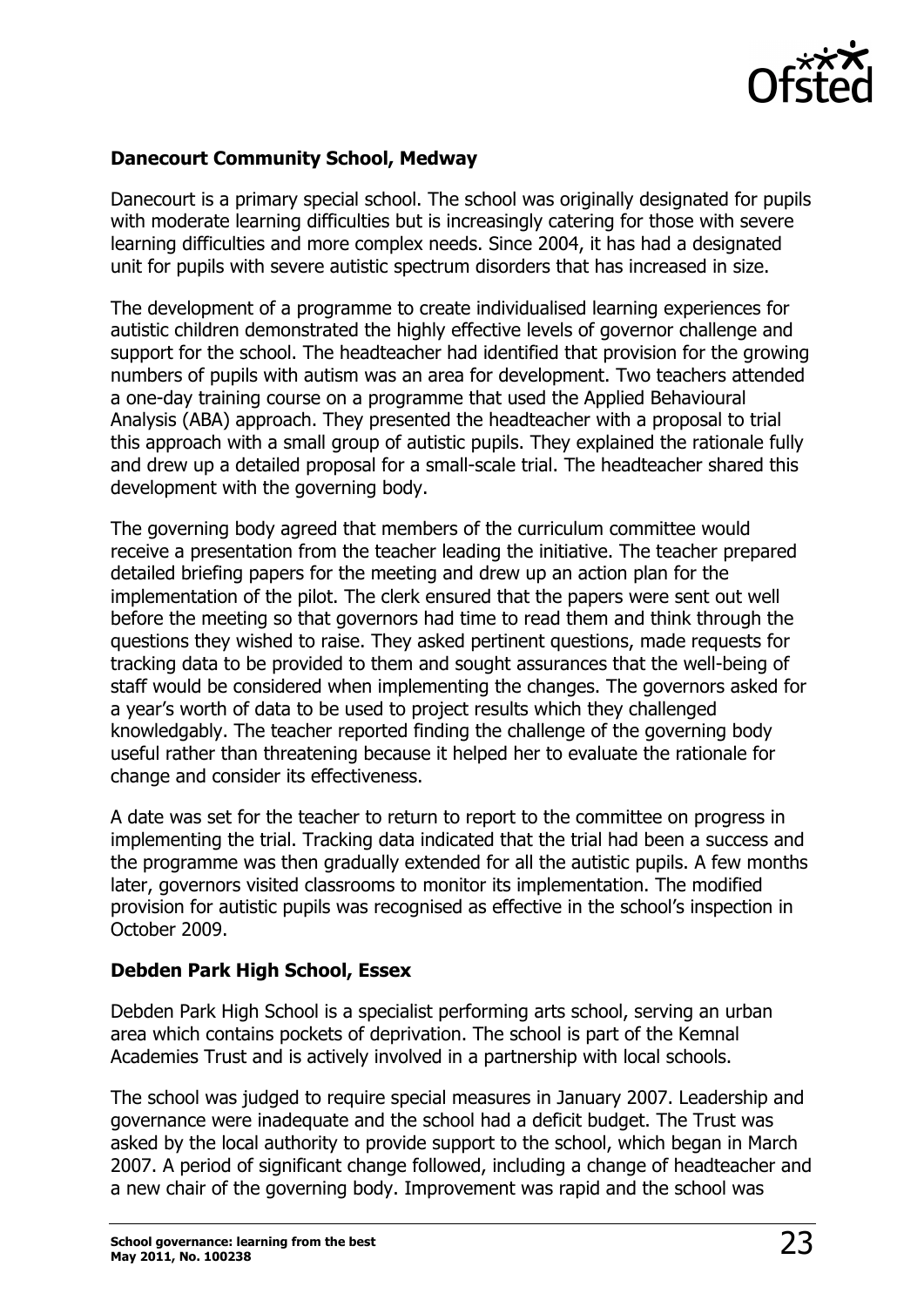

#### **Danecourt Community School, Medway**

Danecourt is a primary special school. The school was originally designated for pupils with moderate learning difficulties but is increasingly catering for those with severe learning difficulties and more complex needs. Since 2004, it has had a designated unit for pupils with severe autistic spectrum disorders that has increased in size.

The development of a programme to create individualised learning experiences for autistic children demonstrated the highly effective levels of governor challenge and support for the school. The headteacher had identified that provision for the growing numbers of pupils with autism was an area for development. Two teachers attended a one-day training course on a programme that used the Applied Behavioural Analysis (ABA) approach. They presented the headteacher with a proposal to trial this approach with a small group of autistic pupils. They explained the rationale fully and drew up a detailed proposal for a small-scale trial. The headteacher shared this development with the governing body.

The governing body agreed that members of the curriculum committee would receive a presentation from the teacher leading the initiative. The teacher prepared detailed briefing papers for the meeting and drew up an action plan for the implementation of the pilot. The clerk ensured that the papers were sent out well before the meeting so that governors had time to read them and think through the questions they wished to raise. They asked pertinent questions, made requests for tracking data to be provided to them and sought assurances that the well-being of staff would be considered when implementing the changes. The governors asked for a year's worth of data to be used to project results which they challenged knowledgably. The teacher reported finding the challenge of the governing body useful rather than threatening because it helped her to evaluate the rationale for change and consider its effectiveness.

A date was set for the teacher to return to report to the committee on progress in implementing the trial. Tracking data indicated that the trial had been a success and the programme was then gradually extended for all the autistic pupils. A few months later, governors visited classrooms to monitor its implementation. The modified provision for autistic pupils was recognised as effective in the school's inspection in October 2009.

#### **Debden Park High School, Essex**

Debden Park High School is a specialist performing arts school, serving an urban area which contains pockets of deprivation. The school is part of the Kemnal Academies Trust and is actively involved in a partnership with local schools.

The school was judged to require special measures in January 2007. Leadership and governance were inadequate and the school had a deficit budget. The Trust was asked by the local authority to provide support to the school, which began in March 2007. A period of significant change followed, including a change of headteacher and a new chair of the governing body. Improvement was rapid and the school was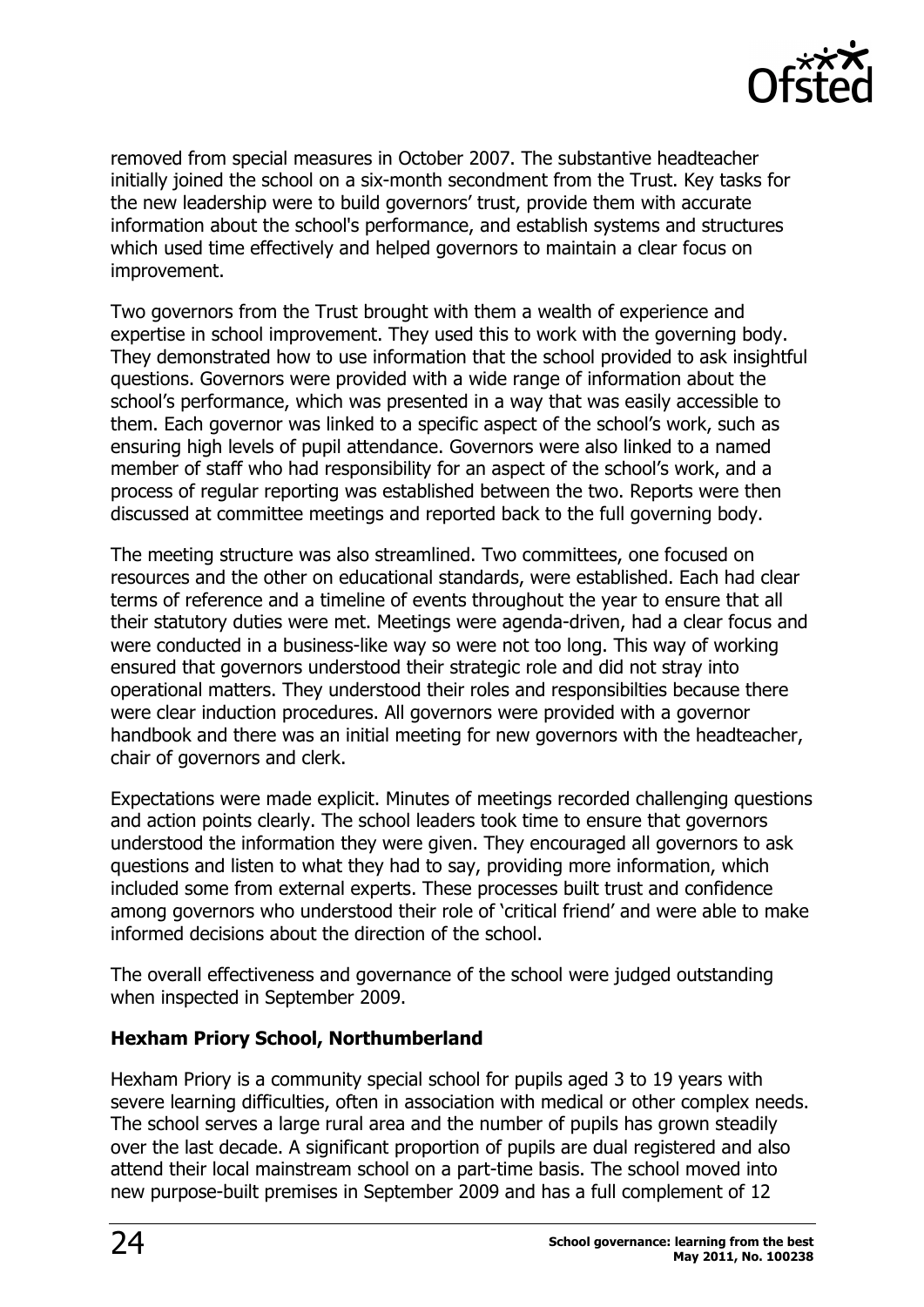

removed from special measures in October 2007. The substantive headteacher initially joined the school on a six-month secondment from the Trust. Key tasks for the new leadership were to build governors' trust, provide them with accurate information about the school's performance, and establish systems and structures which used time effectively and helped governors to maintain a clear focus on improvement.

Two governors from the Trust brought with them a wealth of experience and expertise in school improvement. They used this to work with the governing body. They demonstrated how to use information that the school provided to ask insightful questions. Governors were provided with a wide range of information about the school's performance, which was presented in a way that was easily accessible to them. Each governor was linked to a specific aspect of the school's work, such as ensuring high levels of pupil attendance. Governors were also linked to a named member of staff who had responsibility for an aspect of the school's work, and a process of regular reporting was established between the two. Reports were then discussed at committee meetings and reported back to the full governing body.

The meeting structure was also streamlined. Two committees, one focused on resources and the other on educational standards, were established. Each had clear terms of reference and a timeline of events throughout the year to ensure that all their statutory duties were met. Meetings were agenda-driven, had a clear focus and were conducted in a business-like way so were not too long. This way of working ensured that governors understood their strategic role and did not stray into operational matters. They understood their roles and responsibilties because there were clear induction procedures. All governors were provided with a governor handbook and there was an initial meeting for new governors with the headteacher, chair of governors and clerk.

Expectations were made explicit. Minutes of meetings recorded challenging questions and action points clearly. The school leaders took time to ensure that governors understood the information they were given. They encouraged all governors to ask questions and listen to what they had to say, providing more information, which included some from external experts. These processes built trust and confidence among governors who understood their role of 'critical friend' and were able to make informed decisions about the direction of the school.

The overall effectiveness and governance of the school were judged outstanding when inspected in September 2009.

#### **Hexham Priory School, Northumberland**

Hexham Priory is a community special school for pupils aged 3 to 19 years with severe learning difficulties, often in association with medical or other complex needs. The school serves a large rural area and the number of pupils has grown steadily over the last decade. A significant proportion of pupils are dual registered and also attend their local mainstream school on a part-time basis. The school moved into new purpose-built premises in September 2009 and has a full complement of 12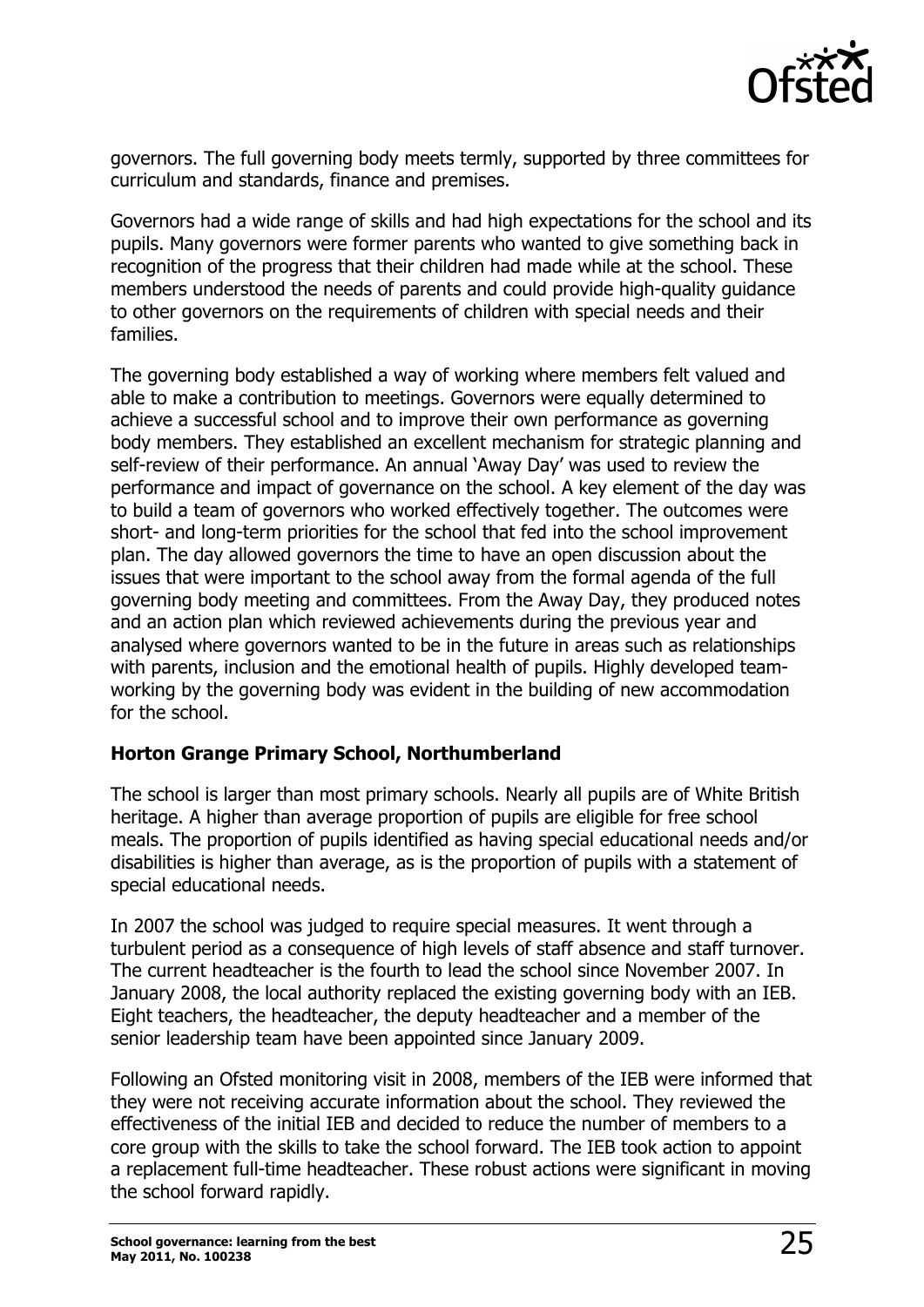

governors. The full governing body meets termly, supported by three committees for curriculum and standards, finance and premises.

Governors had a wide range of skills and had high expectations for the school and its pupils. Many governors were former parents who wanted to give something back in recognition of the progress that their children had made while at the school. These members understood the needs of parents and could provide high-quality guidance to other governors on the requirements of children with special needs and their families.

The governing body established a way of working where members felt valued and able to make a contribution to meetings. Governors were equally determined to achieve a successful school and to improve their own performance as governing body members. They established an excellent mechanism for strategic planning and self-review of their performance. An annual 'Away Day' was used to review the performance and impact of governance on the school. A key element of the day was to build a team of governors who worked effectively together. The outcomes were short- and long-term priorities for the school that fed into the school improvement plan. The day allowed governors the time to have an open discussion about the issues that were important to the school away from the formal agenda of the full governing body meeting and committees. From the Away Day, they produced notes and an action plan which reviewed achievements during the previous year and analysed where governors wanted to be in the future in areas such as relationships with parents, inclusion and the emotional health of pupils. Highly developed teamworking by the governing body was evident in the building of new accommodation for the school.

#### **Horton Grange Primary School, Northumberland**

The school is larger than most primary schools. Nearly all pupils are of White British heritage. A higher than average proportion of pupils are eligible for free school meals. The proportion of pupils identified as having special educational needs and/or disabilities is higher than average, as is the proportion of pupils with a statement of special educational needs.

In 2007 the school was judged to require special measures. It went through a turbulent period as a consequence of high levels of staff absence and staff turnover. The current headteacher is the fourth to lead the school since November 2007. In January 2008, the local authority replaced the existing governing body with an IEB. Eight teachers, the headteacher, the deputy headteacher and a member of the senior leadership team have been appointed since January 2009.

Following an Ofsted monitoring visit in 2008, members of the IEB were informed that they were not receiving accurate information about the school. They reviewed the effectiveness of the initial IEB and decided to reduce the number of members to a core group with the skills to take the school forward. The IEB took action to appoint a replacement full-time headteacher. These robust actions were significant in moving the school forward rapidly.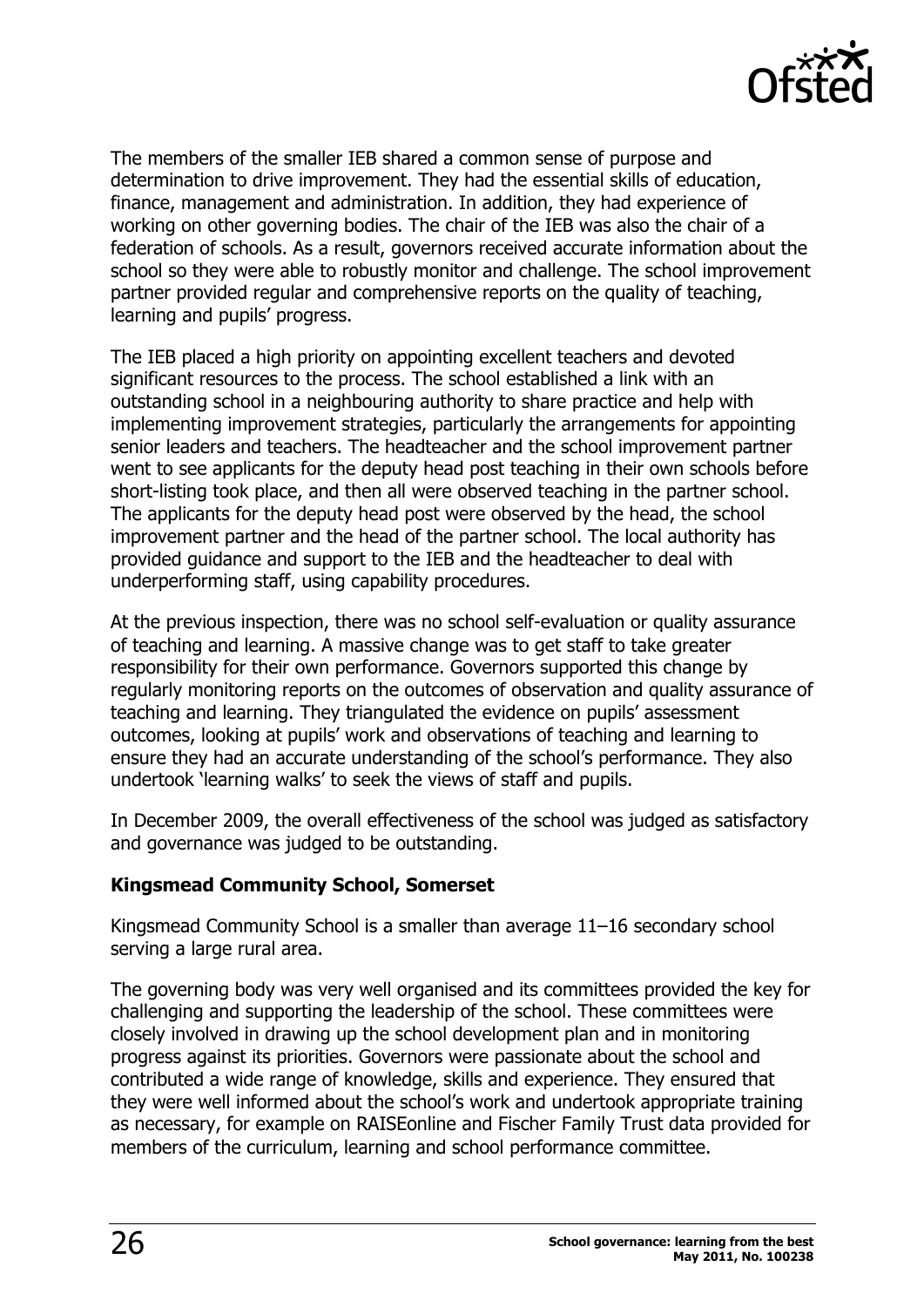

The members of the smaller IEB shared a common sense of purpose and determination to drive improvement. They had the essential skills of education, finance, management and administration. In addition, they had experience of working on other governing bodies. The chair of the IEB was also the chair of a federation of schools. As a result, governors received accurate information about the school so they were able to robustly monitor and challenge. The school improvement partner provided regular and comprehensive reports on the quality of teaching, learning and pupils' progress.

The IEB placed a high priority on appointing excellent teachers and devoted significant resources to the process. The school established a link with an outstanding school in a neighbouring authority to share practice and help with implementing improvement strategies, particularly the arrangements for appointing senior leaders and teachers. The headteacher and the school improvement partner went to see applicants for the deputy head post teaching in their own schools before short-listing took place, and then all were observed teaching in the partner school. The applicants for the deputy head post were observed by the head, the school improvement partner and the head of the partner school. The local authority has provided guidance and support to the IEB and the headteacher to deal with underperforming staff, using capability procedures.

At the previous inspection, there was no school self-evaluation or quality assurance of teaching and learning. A massive change was to get staff to take greater responsibility for their own performance. Governors supported this change by regularly monitoring reports on the outcomes of observation and quality assurance of teaching and learning. They triangulated the evidence on pupils' assessment outcomes, looking at pupils' work and observations of teaching and learning to ensure they had an accurate understanding of the school's performance. They also undertook 'learning walks' to seek the views of staff and pupils.

In December 2009, the overall effectiveness of the school was judged as satisfactory and governance was judged to be outstanding.

### **Kingsmead Community School, Somerset**

Kingsmead Community School is a smaller than average 11–16 secondary school serving a large rural area.

The governing body was very well organised and its committees provided the key for challenging and supporting the leadership of the school. These committees were closely involved in drawing up the school development plan and in monitoring progress against its priorities. Governors were passionate about the school and contributed a wide range of knowledge, skills and experience. They ensured that they were well informed about the school's work and undertook appropriate training as necessary, for example on RAISEonline and Fischer Family Trust data provided for members of the curriculum, learning and school performance committee.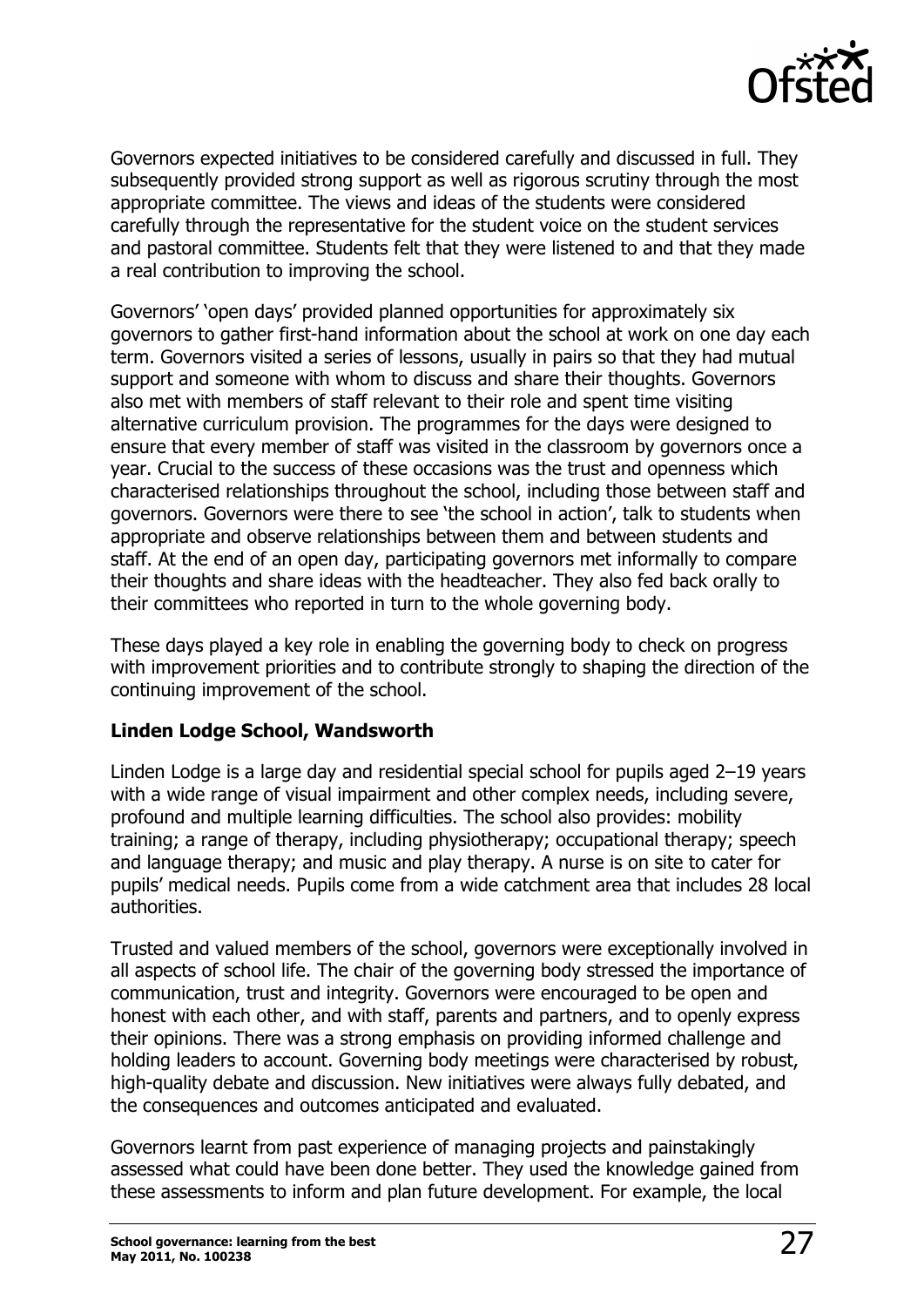

Governors expected initiatives to be considered carefully and discussed in full. They subsequently provided strong support as well as rigorous scrutiny through the most appropriate committee. The views and ideas of the students were considered carefully through the representative for the student voice on the student services and pastoral committee. Students felt that they were listened to and that they made a real contribution to improving the school.

Governors' 'open days' provided planned opportunities for approximately six governors to gather first-hand information about the school at work on one day each term. Governors visited a series of lessons, usually in pairs so that they had mutual support and someone with whom to discuss and share their thoughts. Governors also met with members of staff relevant to their role and spent time visiting alternative curriculum provision. The programmes for the days were designed to ensure that every member of staff was visited in the classroom by governors once a year. Crucial to the success of these occasions was the trust and openness which characterised relationships throughout the school, including those between staff and governors. Governors were there to see 'the school in action', talk to students when appropriate and observe relationships between them and between students and staff. At the end of an open day, participating governors met informally to compare their thoughts and share ideas with the headteacher. They also fed back orally to their committees who reported in turn to the whole governing body.

These days played a key role in enabling the governing body to check on progress with improvement priorities and to contribute strongly to shaping the direction of the continuing improvement of the school.

#### **Linden Lodge School, Wandsworth**

Linden Lodge is a large day and residential special school for pupils aged 2–19 years with a wide range of visual impairment and other complex needs, including severe, profound and multiple learning difficulties. The school also provides: mobility training; a range of therapy, including physiotherapy; occupational therapy; speech and language therapy; and music and play therapy. A nurse is on site to cater for pupils' medical needs. Pupils come from a wide catchment area that includes 28 local authorities.

Trusted and valued members of the school, governors were exceptionally involved in all aspects of school life. The chair of the governing body stressed the importance of communication, trust and integrity. Governors were encouraged to be open and honest with each other, and with staff, parents and partners, and to openly express their opinions. There was a strong emphasis on providing informed challenge and holding leaders to account. Governing body meetings were characterised by robust, high-quality debate and discussion. New initiatives were always fully debated, and the consequences and outcomes anticipated and evaluated.

Governors learnt from past experience of managing projects and painstakingly assessed what could have been done better. They used the knowledge gained from these assessments to inform and plan future development. For example, the local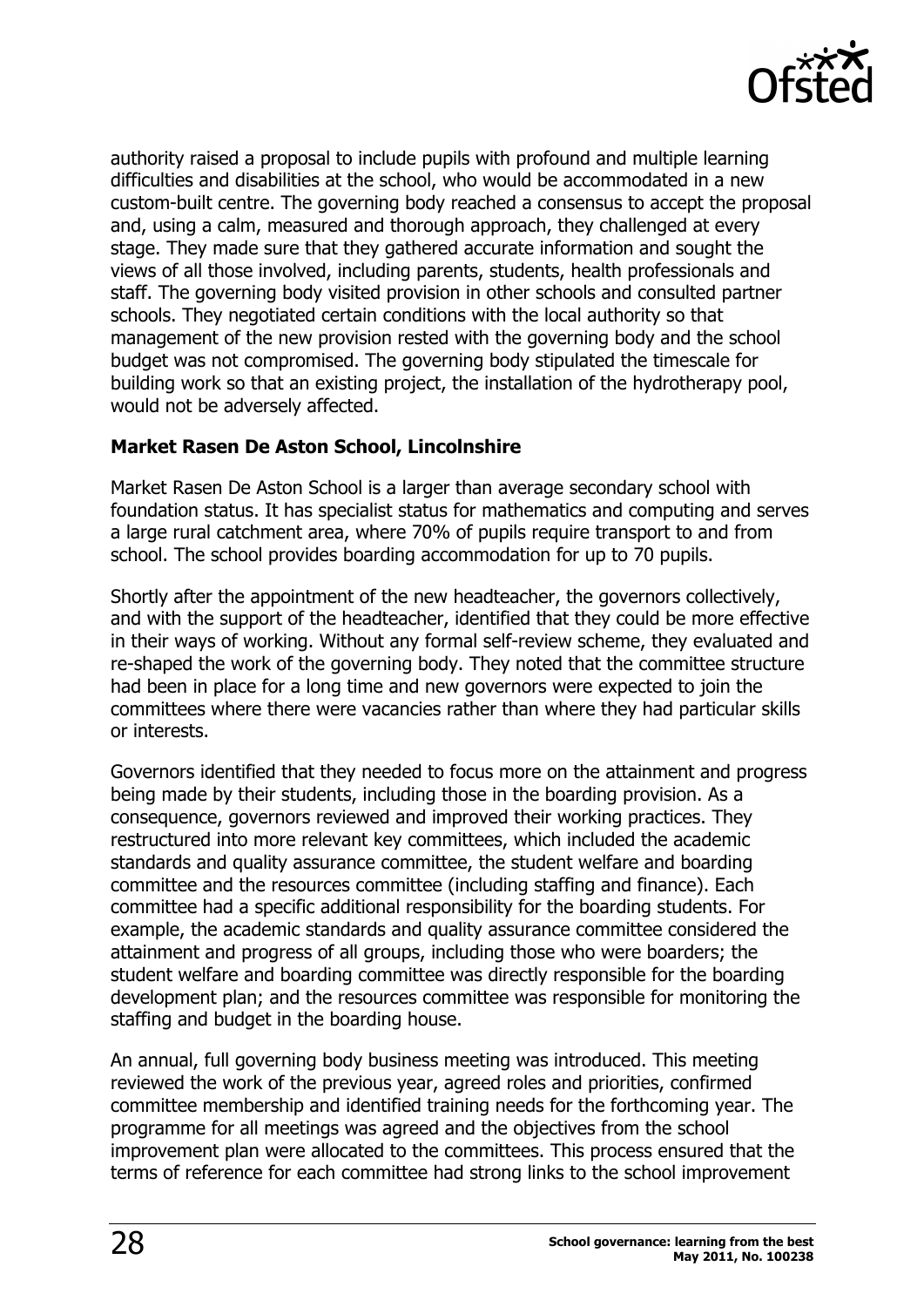

authority raised a proposal to include pupils with profound and multiple learning difficulties and disabilities at the school, who would be accommodated in a new custom-built centre. The governing body reached a consensus to accept the proposal and, using a calm, measured and thorough approach, they challenged at every stage. They made sure that they gathered accurate information and sought the views of all those involved, including parents, students, health professionals and staff. The governing body visited provision in other schools and consulted partner schools. They negotiated certain conditions with the local authority so that management of the new provision rested with the governing body and the school budget was not compromised. The governing body stipulated the timescale for building work so that an existing project, the installation of the hydrotherapy pool, would not be adversely affected.

### **Market Rasen De Aston School, Lincolnshire**

Market Rasen De Aston School is a larger than average secondary school with foundation status. It has specialist status for mathematics and computing and serves a large rural catchment area, where 70% of pupils require transport to and from school. The school provides boarding accommodation for up to 70 pupils.

Shortly after the appointment of the new headteacher, the governors collectively, and with the support of the headteacher, identified that they could be more effective in their ways of working. Without any formal self-review scheme, they evaluated and re-shaped the work of the governing body. They noted that the committee structure had been in place for a long time and new governors were expected to join the committees where there were vacancies rather than where they had particular skills or interests.

Governors identified that they needed to focus more on the attainment and progress being made by their students, including those in the boarding provision. As a consequence, governors reviewed and improved their working practices. They restructured into more relevant key committees, which included the academic standards and quality assurance committee, the student welfare and boarding committee and the resources committee (including staffing and finance). Each committee had a specific additional responsibility for the boarding students. For example, the academic standards and quality assurance committee considered the attainment and progress of all groups, including those who were boarders; the student welfare and boarding committee was directly responsible for the boarding development plan; and the resources committee was responsible for monitoring the staffing and budget in the boarding house.

An annual, full governing body business meeting was introduced. This meeting reviewed the work of the previous year, agreed roles and priorities, confirmed committee membership and identified training needs for the forthcoming year. The programme for all meetings was agreed and the objectives from the school improvement plan were allocated to the committees. This process ensured that the terms of reference for each committee had strong links to the school improvement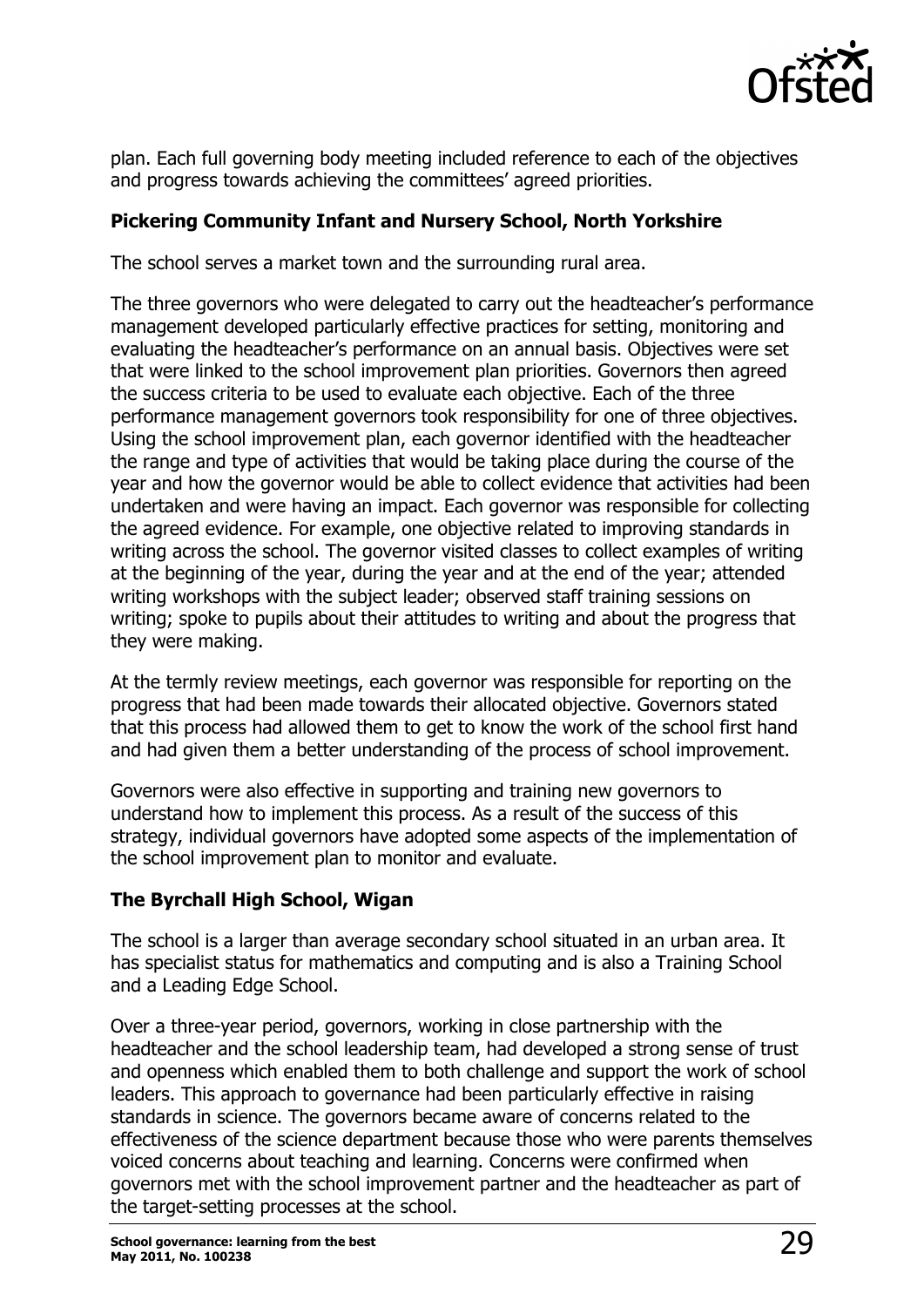

plan. Each full governing body meeting included reference to each of the objectives and progress towards achieving the committees' agreed priorities.

### **Pickering Community Infant and Nursery School, North Yorkshire**

The school serves a market town and the surrounding rural area.

The three governors who were delegated to carry out the headteacher's performance management developed particularly effective practices for setting, monitoring and evaluating the headteacher's performance on an annual basis. Objectives were set that were linked to the school improvement plan priorities. Governors then agreed the success criteria to be used to evaluate each objective. Each of the three performance management governors took responsibility for one of three objectives. Using the school improvement plan, each governor identified with the headteacher the range and type of activities that would be taking place during the course of the year and how the governor would be able to collect evidence that activities had been undertaken and were having an impact. Each governor was responsible for collecting the agreed evidence. For example, one objective related to improving standards in writing across the school. The governor visited classes to collect examples of writing at the beginning of the year, during the year and at the end of the year; attended writing workshops with the subject leader; observed staff training sessions on writing; spoke to pupils about their attitudes to writing and about the progress that they were making.

At the termly review meetings, each governor was responsible for reporting on the progress that had been made towards their allocated objective. Governors stated that this process had allowed them to get to know the work of the school first hand and had given them a better understanding of the process of school improvement.

Governors were also effective in supporting and training new governors to understand how to implement this process. As a result of the success of this strategy, individual governors have adopted some aspects of the implementation of the school improvement plan to monitor and evaluate.

### **The Byrchall High School, Wigan**

The school is a larger than average secondary school situated in an urban area. It has specialist status for mathematics and computing and is also a Training School and a Leading Edge School.

Over a three-year period, governors, working in close partnership with the headteacher and the school leadership team, had developed a strong sense of trust and openness which enabled them to both challenge and support the work of school leaders. This approach to governance had been particularly effective in raising standards in science. The governors became aware of concerns related to the effectiveness of the science department because those who were parents themselves voiced concerns about teaching and learning. Concerns were confirmed when governors met with the school improvement partner and the headteacher as part of the target-setting processes at the school.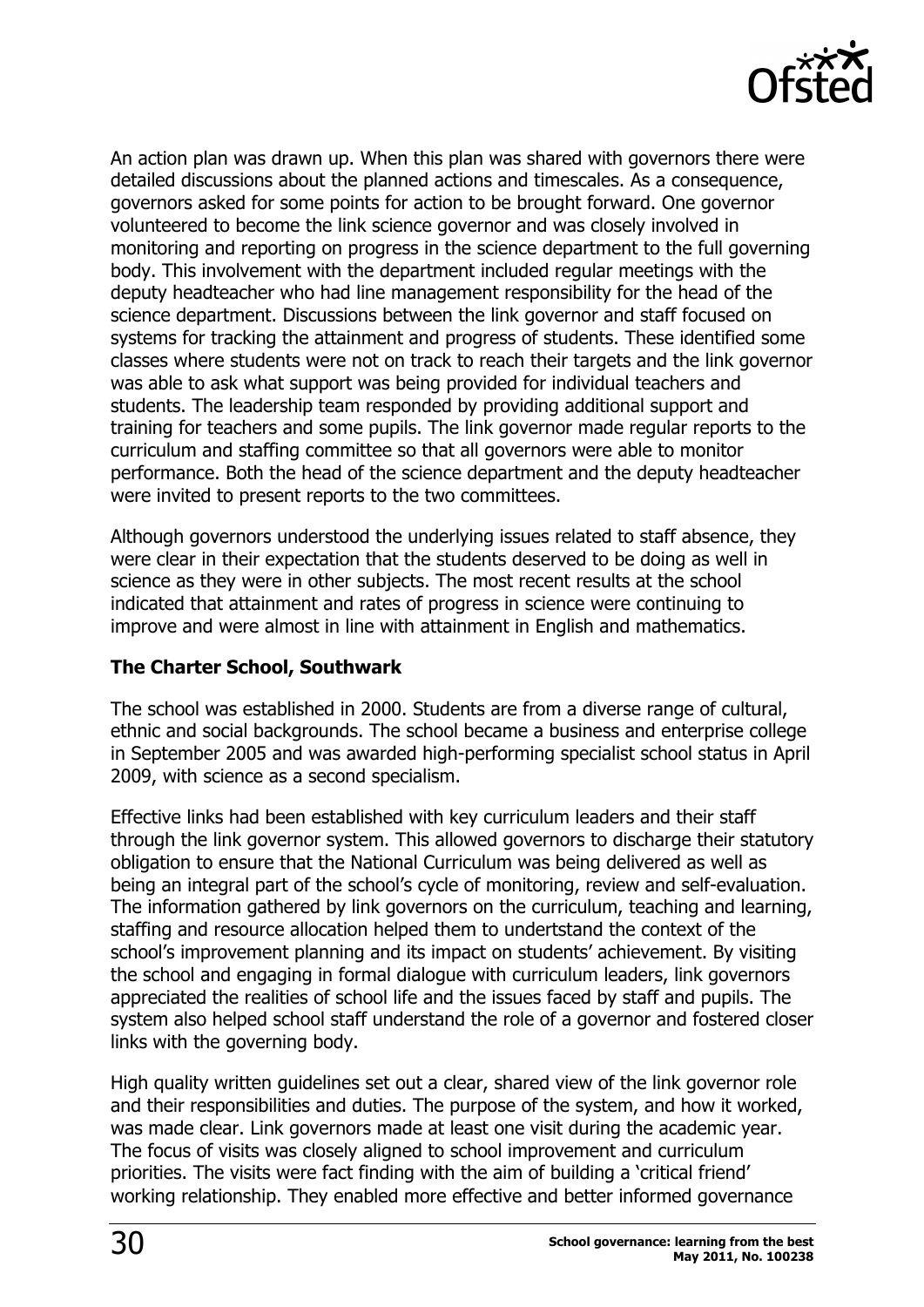

An action plan was drawn up. When this plan was shared with governors there were detailed discussions about the planned actions and timescales. As a consequence, governors asked for some points for action to be brought forward. One governor volunteered to become the link science governor and was closely involved in monitoring and reporting on progress in the science department to the full governing body. This involvement with the department included regular meetings with the deputy headteacher who had line management responsibility for the head of the science department. Discussions between the link governor and staff focused on systems for tracking the attainment and progress of students. These identified some classes where students were not on track to reach their targets and the link governor was able to ask what support was being provided for individual teachers and students. The leadership team responded by providing additional support and training for teachers and some pupils. The link governor made regular reports to the curriculum and staffing committee so that all governors were able to monitor performance. Both the head of the science department and the deputy headteacher were invited to present reports to the two committees.

Although governors understood the underlying issues related to staff absence, they were clear in their expectation that the students deserved to be doing as well in science as they were in other subjects. The most recent results at the school indicated that attainment and rates of progress in science were continuing to improve and were almost in line with attainment in English and mathematics.

#### **The Charter School, Southwark**

The school was established in 2000. Students are from a diverse range of cultural, ethnic and social backgrounds. The school became a business and enterprise college in September 2005 and was awarded high-performing specialist school status in April 2009, with science as a second specialism.

Effective links had been established with key curriculum leaders and their staff through the link governor system. This allowed governors to discharge their statutory obligation to ensure that the National Curriculum was being delivered as well as being an integral part of the school's cycle of monitoring, review and self-evaluation. The information gathered by link governors on the curriculum, teaching and learning, staffing and resource allocation helped them to undertstand the context of the school's improvement planning and its impact on students' achievement. By visiting the school and engaging in formal dialogue with curriculum leaders, link governors appreciated the realities of school life and the issues faced by staff and pupils. The system also helped school staff understand the role of a governor and fostered closer links with the governing body.

High quality written guidelines set out a clear, shared view of the link governor role and their responsibilities and duties. The purpose of the system, and how it worked, was made clear. Link governors made at least one visit during the academic year. The focus of visits was closely aligned to school improvement and curriculum priorities. The visits were fact finding with the aim of building a 'critical friend' working relationship. They enabled more effective and better informed governance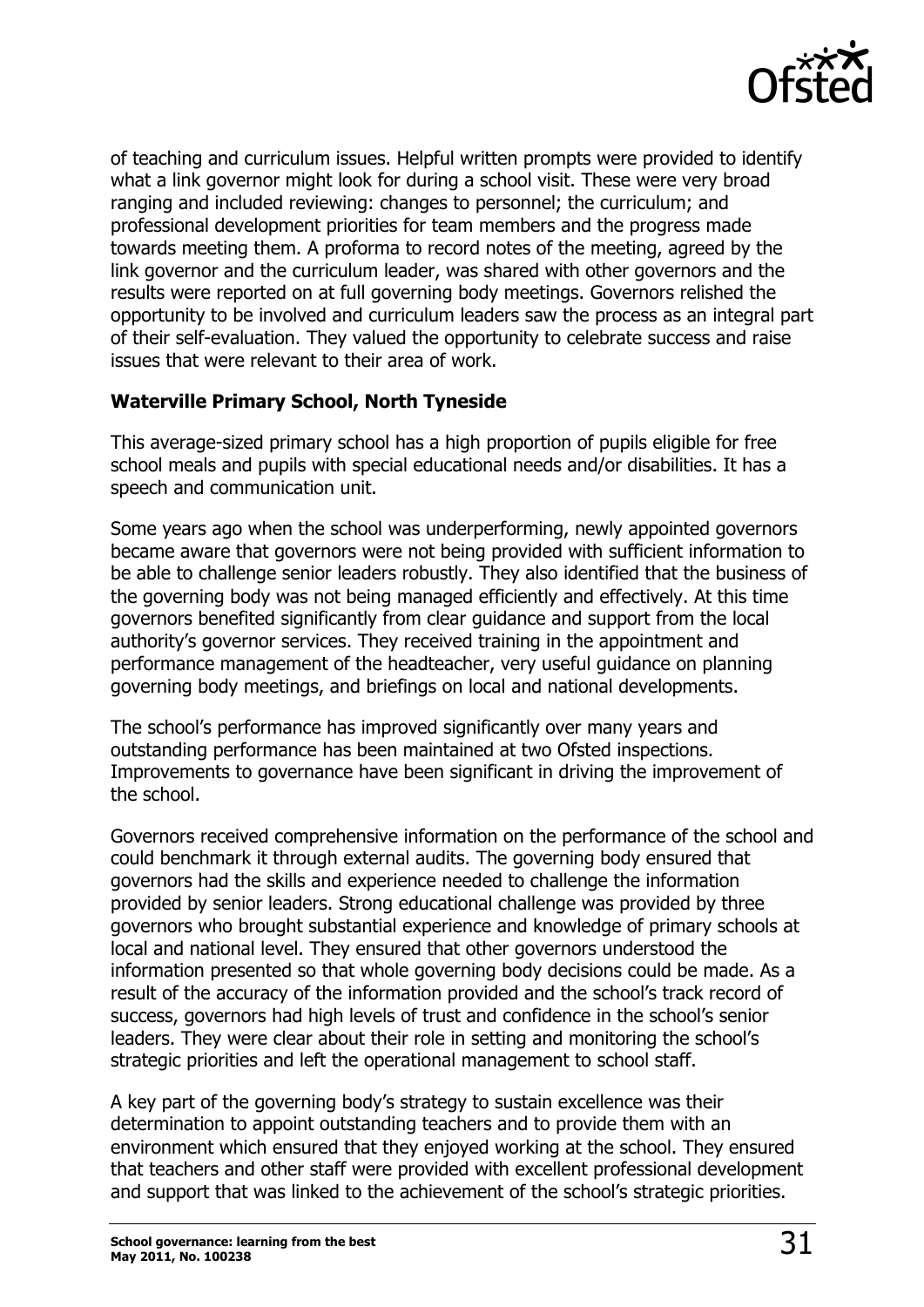

of teaching and curriculum issues. Helpful written prompts were provided to identify what a link governor might look for during a school visit. These were very broad ranging and included reviewing: changes to personnel; the curriculum; and professional development priorities for team members and the progress made towards meeting them. A proforma to record notes of the meeting, agreed by the link governor and the curriculum leader, was shared with other governors and the results were reported on at full governing body meetings. Governors relished the opportunity to be involved and curriculum leaders saw the process as an integral part of their self-evaluation. They valued the opportunity to celebrate success and raise issues that were relevant to their area of work.

### **Waterville Primary School, North Tyneside**

This average-sized primary school has a high proportion of pupils eligible for free school meals and pupils with special educational needs and/or disabilities. It has a speech and communication unit.

Some years ago when the school was underperforming, newly appointed governors became aware that governors were not being provided with sufficient information to be able to challenge senior leaders robustly. They also identified that the business of the governing body was not being managed efficiently and effectively. At this time governors benefited significantly from clear guidance and support from the local authority's governor services. They received training in the appointment and performance management of the headteacher, very useful guidance on planning governing body meetings, and briefings on local and national developments.

The school's performance has improved significantly over many years and outstanding performance has been maintained at two Ofsted inspections. Improvements to governance have been significant in driving the improvement of the school.

Governors received comprehensive information on the performance of the school and could benchmark it through external audits. The governing body ensured that governors had the skills and experience needed to challenge the information provided by senior leaders. Strong educational challenge was provided by three governors who brought substantial experience and knowledge of primary schools at local and national level. They ensured that other governors understood the information presented so that whole governing body decisions could be made. As a result of the accuracy of the information provided and the school's track record of success, governors had high levels of trust and confidence in the school's senior leaders. They were clear about their role in setting and monitoring the school's strategic priorities and left the operational management to school staff.

A key part of the governing body's strategy to sustain excellence was their determination to appoint outstanding teachers and to provide them with an environment which ensured that they enjoyed working at the school. They ensured that teachers and other staff were provided with excellent professional development and support that was linked to the achievement of the school's strategic priorities.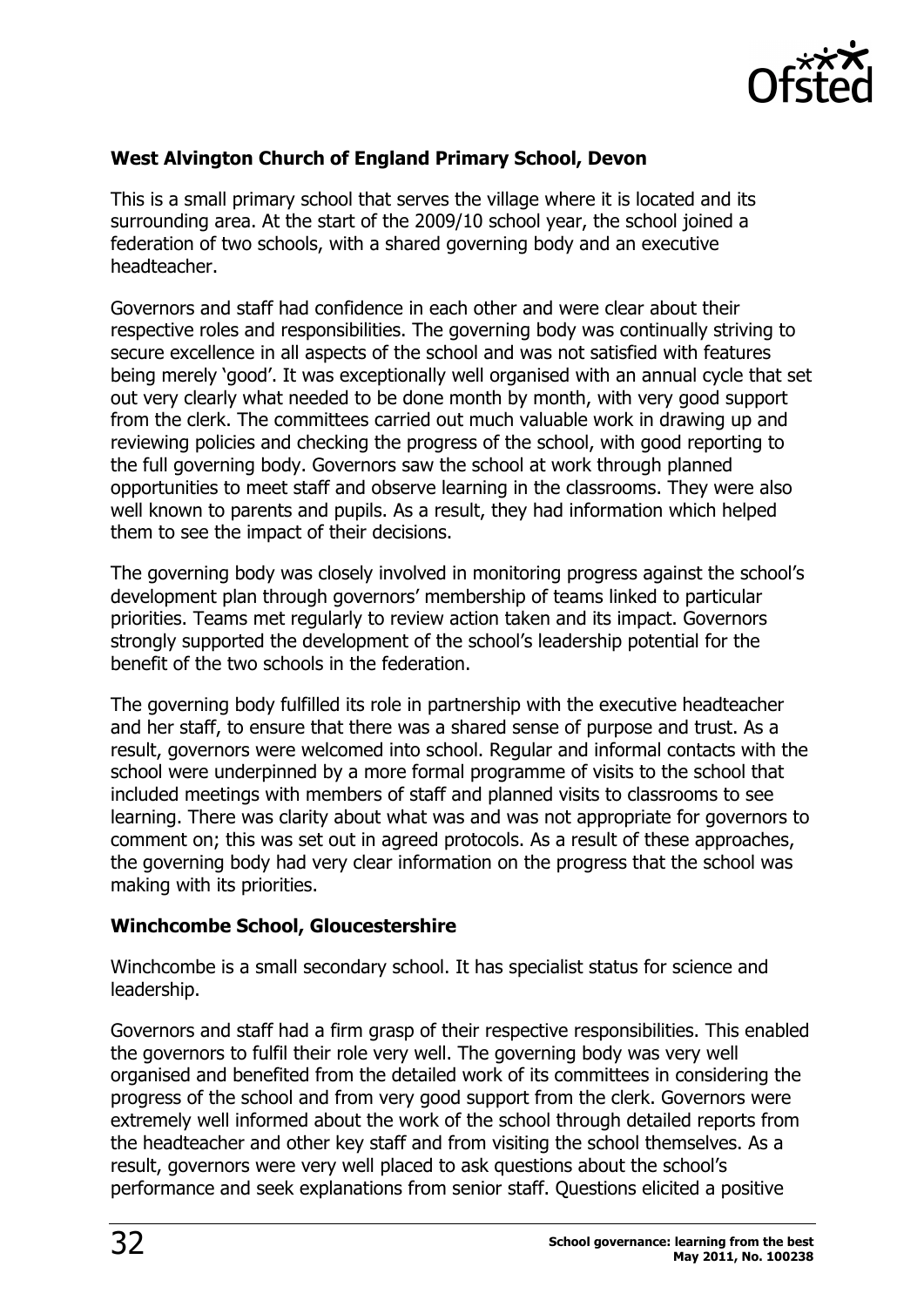

### **West Alvington Church of England Primary School, Devon**

This is a small primary school that serves the village where it is located and its surrounding area. At the start of the 2009/10 school year, the school joined a federation of two schools, with a shared governing body and an executive headteacher.

Governors and staff had confidence in each other and were clear about their respective roles and responsibilities. The governing body was continually striving to secure excellence in all aspects of the school and was not satisfied with features being merely 'good'. It was exceptionally well organised with an annual cycle that set out very clearly what needed to be done month by month, with very good support from the clerk. The committees carried out much valuable work in drawing up and reviewing policies and checking the progress of the school, with good reporting to the full governing body. Governors saw the school at work through planned opportunities to meet staff and observe learning in the classrooms. They were also well known to parents and pupils. As a result, they had information which helped them to see the impact of their decisions.

The governing body was closely involved in monitoring progress against the school's development plan through governors' membership of teams linked to particular priorities. Teams met regularly to review action taken and its impact. Governors strongly supported the development of the school's leadership potential for the benefit of the two schools in the federation.

The governing body fulfilled its role in partnership with the executive headteacher and her staff, to ensure that there was a shared sense of purpose and trust. As a result, governors were welcomed into school. Regular and informal contacts with the school were underpinned by a more formal programme of visits to the school that included meetings with members of staff and planned visits to classrooms to see learning. There was clarity about what was and was not appropriate for governors to comment on; this was set out in agreed protocols. As a result of these approaches, the governing body had very clear information on the progress that the school was making with its priorities.

#### **Winchcombe School, Gloucestershire**

Winchcombe is a small secondary school. It has specialist status for science and leadership.

Governors and staff had a firm grasp of their respective responsibilities. This enabled the governors to fulfil their role very well. The governing body was very well organised and benefited from the detailed work of its committees in considering the progress of the school and from very good support from the clerk. Governors were extremely well informed about the work of the school through detailed reports from the headteacher and other key staff and from visiting the school themselves. As a result, governors were very well placed to ask questions about the school's performance and seek explanations from senior staff. Questions elicited a positive